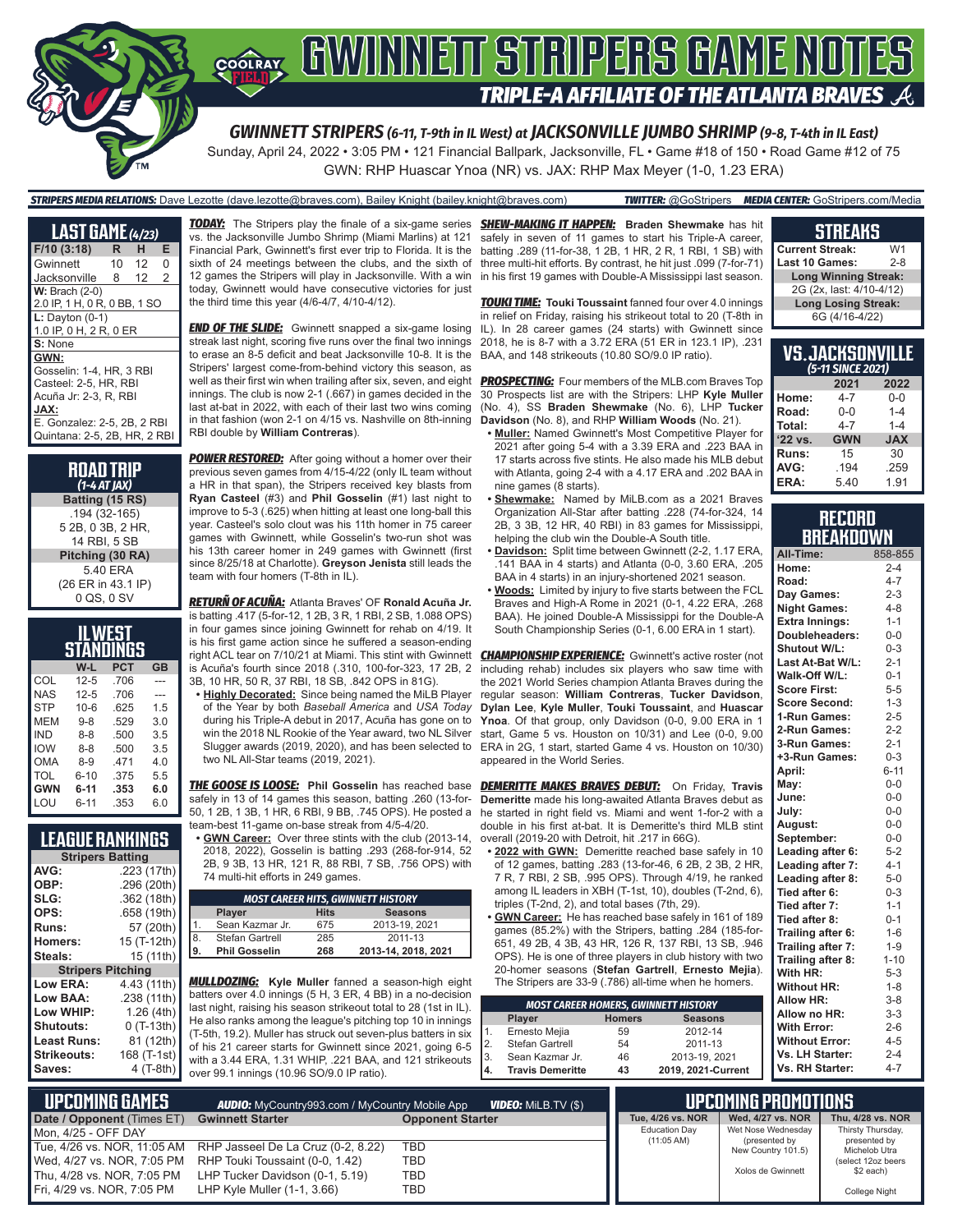

GWN: RHP Huascar Ynoa (NR) vs. JAX: RHP Max Meyer (1-0, 1.23 ERA)

#### *STRIPERS MEDIA RELATIONS:* Dave Lezotte (dave.lezotte@braves.com), Bailey Knight (bailey.knight@braves.com) *TWITTER:* @GoStripers *MEDIA CENTER:* GoStripers.com/Media

| <b>LAST GAME</b> (4/23)      |    |    |                |
|------------------------------|----|----|----------------|
| F/10(3:18)                   | R  | н  | Е              |
| Gwinnett                     | 10 | 12 | 0              |
| Jacksonville                 | 8  | 12 | $\overline{2}$ |
| $W:$ Brach $(2-0)$           |    |    |                |
| 2.0 IP, 1 H, 0 R, 0 BB, 1 SO |    |    |                |
| $L:$ Dayton $(0-1)$          |    |    |                |
| 1.0 IP, 0 H, 2 R, 0 ER       |    |    |                |
| S: None                      |    |    |                |
| GWN:                         |    |    |                |
| Gosselin: 1-4, HR, 3 RBI     |    |    |                |
| Casteel: 2-5, HR, RBI        |    |    |                |
| Acuña Jr: 2-3, R, RBI        |    |    |                |
| JAX:                         |    |    |                |
| E. Gonzalez: 2-5, 2B, 2 RBI  |    |    |                |
| Quintana: 2-5, 2B, HR, 2 RBI |    |    |                |

| <b>ROAD TRIP</b><br>$(1-4 AT JAX)$ |
|------------------------------------|
| Batting (15 RS)                    |
| .194 (32-165)                      |
| 5 2B, 0 3B, 2 HR,                  |
| 14 RBI, 5 SB                       |
| Pitching (30 RA)                   |
| 5.40 ERA                           |
| (26 ER in 43.1 IP)                 |
| 0 QS, 0 SV                         |

| IL WEST<br>STANDINGS           |          |      |     |  |  |  |
|--------------------------------|----------|------|-----|--|--|--|
| <b>PCT</b><br>W-L<br><b>GB</b> |          |      |     |  |  |  |
| COL                            | $12 - 5$ | .706 |     |  |  |  |
| NAS                            | $12 - 5$ | .706 |     |  |  |  |
| <b>STP</b>                     | $10 - 6$ | 625  | 1.5 |  |  |  |
| MFM                            | $9 - 8$  | .529 | 3.0 |  |  |  |
| IND                            | $8 - 8$  | .500 | 3.5 |  |  |  |
| <b>IOW</b>                     | $8 - 8$  | 500  | 3.5 |  |  |  |
| OMA                            | $8-9$    | 471  | 4.0 |  |  |  |
| TOL                            | $6 - 10$ | .375 | 5.5 |  |  |  |
| <b>GWN</b>                     | 6-11     | .353 | 6.0 |  |  |  |
| I OU                           | 6-11     | .353 | 6.0 |  |  |  |

| <b>LEAGUE RANKINGS</b>   |             |
|--------------------------|-------------|
| <b>Stripers Batting</b>  |             |
| AVG:                     | .223 (17th) |
| OBP:                     | .296 (20th) |
| SLG:                     | .362 (18th) |
| OPS:                     | .658 (19th) |
| Runs:                    | 57 (20th)   |
| Homers:                  | 15 (T-12th) |
| Steals:                  | 15 (11th)   |
| <b>Stripers Pitching</b> |             |
| Low ERA:                 | 4.43 (11th) |
| Low BAA:                 | .238 (11th) |
| Low WHIP:                | 1.26(4th)   |
| <b>Shutouts:</b>         | $0(T-13th)$ |
| <b>Least Runs:</b>       | 81 (12th)   |

**Strikeouts:** 168 (T-1st)<br>**Saves:** 4 (T-8th)

**Saves:** 4 (T-8th)

**Least Runs:**<br>Strikeouts:

**TODAY:** The Stripers play the finale of a six-game series vs. the Jacksonville Jumbo Shrimp (Miami Marlins) at 121 Financial Park, Gwinnett's first ever trip to Florida. It is the sixth of 24 meetings between the clubs, and the sixth of 12 games the Stripers will play in Jacksonville. With a win today, Gwinnett would have consecutive victories for just the third time this year (4/6-4/7, 4/10-4/12).

**END OF THE SLIDE:** Gwinnett snapped a six-game losing streak last night, scoring five runs over the final two innings to erase an 8-5 deficit and beat Jacksonville 10-8. It is the Stripers' largest come-from-behind victory this season, as well as their first win when trailing after six, seven, and eight innings. The club is now 2-1 (.667) in games decided in the last at-bat in 2022, with each of their last two wins coming in that fashion (won 2-1 on 4/15 vs. Nashville on 8th-inning RBI double by **William Contreras**).

**POWER RESTORED:** After going without a homer over their previous seven games from 4/15-4/22 (only IL team without a HR in that span), the Stripers received key blasts from **Ryan Casteel** (#3) and **Phil Gosselin** (#1) last night to improve to 5-3 (.625) when hitting at least one long-ball this year. Casteel's solo clout was his 11th homer in 75 career games with Gwinnett, while Gosselin's two-run shot was his 13th career homer in 249 games with Gwinnett (first since 8/25/18 at Charlotte). **Greyson Jenista** still leads the team with four homers (T-8th in IL).

*RETURÑ OF ACUÑA:* Atlanta Braves' OF **Ronald Acuña Jr.** is batting .417 (5-for-12, 1 2B, 3 R, 1 RBI, 2 SB, 1.088 OPS) in four games since joining Gwinnett for rehab on 4/19. It is his first game action since he suffered a season-ending right ACL tear on 7/10/21 at Miami. This stint with Gwinnett is Acuña's fourth since 2018 (.310, 100-for-323, 17 2B, 2 3B, 10 HR, 50 R, 37 RBI, 18 SB, .842 OPS in 81G).

**• Highly Decorated:** Since being named the MiLB Player of the Year by both *Baseball America* and *USA Today* during his Triple-A debut in 2017, Acuña has gone on to win the 2018 NL Rookie of the Year award, two NL Silver Slugger awards (2019, 2020), and has been selected to two NL All-Star teams (2019, 2021).

safely in 13 of 14 games this season, batting .260 (13-for-50, 1 2B, 1 3B, 1 HR, 6 RBI, 9 BB, .745 OPS). He posted a team-best 11-game on-base streak from 4/5-4/20.

**• GWN Career:** Over three stints with the club (2013-14, 2018, 2022), Gosselin is batting .293 (268-for-914, 52 2B, 9 3B, 13 HR, 121 R, 88 RBI, 7 SB, .756 OPS) with 74 multi-hit efforts in 249 games.

| <b>MOST CAREER HITS, GWINNETT HISTORY</b>      |                      |     |                     |  |  |  |
|------------------------------------------------|----------------------|-----|---------------------|--|--|--|
| <b>Hits</b><br><b>Seasons</b><br><b>Player</b> |                      |     |                     |  |  |  |
|                                                | Sean Kazmar Jr.      | 675 | 2013-19, 2021       |  |  |  |
| 8                                              | Stefan Gartrell      | 285 | 2011-13             |  |  |  |
| 9                                              | <b>Phil Gosselin</b> | 268 | 2013-14, 2018, 2021 |  |  |  |

*MULLDOZING:* **Kyle Muller** fanned a season-high eight batters over 4.0 innings (5 H, 3 ER, 4 BB) in a no-decision last night, raising his season strikeout total to 28 (1st in IL). He also ranks among the league's pitching top 10 in innings (T-5th, 19.2). Muller has struck out seven-plus batters in six of his 21 career starts for Gwinnett since 2021, going 6-5 with a 3.44 ERA, 1.31 WHIP, .221 BAA, and 121 strikeouts over 99.1 innings (10.96 SO/9.0 IP ratio).

*SHEW-MAKING IT HAPPEN:* **Braden Shewmake** has hit safely in seven of 11 games to start his Triple-A career, batting .289 (11-for-38, 1 2B, 1 HR, 2 R, 1 RBI, 1 SB) with three multi-hit efforts. By contrast, he hit just .099 (7-for-71) in his first 19 games with Double-A Mississippi last season.

*TOUKI TIME:* **Touki Toussaint** fanned four over 4.0 innings in relief on Friday, raising his strikeout total to 20 (T-8th in IL). In 28 career games (24 starts) with Gwinnett since 2018, he is 8-7 with a 3.72 ERA (51 ER in 123.1 IP), .231 BAA, and 148 strikeouts (10.80 SO/9.0 IP ratio).

**PROSPECTING:** Four members of the MLB.com Braves Top 30 Prospects list are with the Stripers: LHP **Kyle Muller** (No. 4), SS **Braden Shewmake** (No. 6), LHP **Tucker Davidson** (No. 8), and RHP **William Woods** (No. 21).

- **• Muller:** Named Gwinnett's Most Competitive Player for 2021 after going 5-4 with a 3.39 ERA and .223 BAA in 17 starts across five stints. He also made his MLB debut with Atlanta, going 2-4 with a 4.17 ERA and .202 BAA in nine games (8 starts).
- **• Shewmake:** Named by MiLB.com as a 2021 Braves Organization All-Star after batting .228 (74-for-324, 14 2B, 3 3B, 12 HR, 40 RBI) in 83 games for Mississippi, helping the club win the Double-A South title.
- **• Davidson:** Split time between Gwinnett (2-2, 1.17 ERA, .141 BAA in 4 starts) and Atlanta (0-0, 3.60 ERA, .205 BAA in 4 starts) in an injury-shortened 2021 season.
- **• Woods:** Limited by injury to five starts between the FCL Braves and High-A Rome in 2021 (0-1, 4.22 ERA, .268 BAA). He joined Double-A Mississippi for the Double-A South Championship Series (0-1, 6.00 ERA in 1 start).

*CHAMPIONSHIP EXPERIENCE:* Gwinnett's active roster (not including rehab) includes six players who saw time with the 2021 World Series champion Atlanta Braves during the regular season: **William Contreras**, **Tucker Davidson**, **Dylan Lee**, **Kyle Muller**, **Touki Toussaint**, and **Huascar Ynoa**. Of that group, only Davidson (0-0, 9.00 ERA in 1 start, Game 5 vs. Houston on 10/31) and Lee (0-0, 9.00 ERA in 2G, 1 start, started Game 4 vs. Houston on 10/30) appeared in the World Series.

*THE GOOSE IS LOOSE:* **Phil Gosselin** has reached base *DEMERITTE MAKES BRAVES DEBUT:* On Friday, **Travis Demeritte** made his long-awaited Atlanta Braves debut as he started in right field vs. Miami and went 1-for-2 with a double in his first at-bat. It is Demeritte's third MLB stint overall (2019-20 with Detroit, hit .217 in 66G).

- **• 2022 with GWN:** Demeritte reached base safely in 10 of 12 games, batting .283 (13-for-46, 6 2B, 2 3B, 2 HR, 7 R, 7 RBI, 2 SB, .995 OPS). Through 4/19, he ranked among IL leaders in XBH (T-1st, 10), doubles (T-2nd, 6), triples (T-2nd, 2), and total bases (7th, 29).
- **• GWN Career:** He has reached base safely in 161 of 189 games (85.2%) with the Stripers, batting .284 (185-for-651, 49 2B, 4 3B, 43 HR, 126 R, 137 RBI, 13 SB, .946 OPS). He is one of three players in club history with two 20-homer seasons (**Stefan Gartrell**, **Ernesto Mejia**). The Stripers are 33-9 (.786) all-time when he homers.

| <b>MOST CAREER HOMERS, GWINNETT HISTORY</b> |                         |               |                    |  |  |  |
|---------------------------------------------|-------------------------|---------------|--------------------|--|--|--|
|                                             | Player                  | <b>Homers</b> | <b>Seasons</b>     |  |  |  |
| 1 <sub>1</sub>                              | Ernesto Mejia           | 59            | 2012-14            |  |  |  |
| 2.                                          | Stefan Gartrell         | 54            | 2011-13            |  |  |  |
| 3.                                          | Sean Kazmar Jr.         | 46            | 2013-19, 2021      |  |  |  |
| 4.                                          | <b>Travis Demeritte</b> | 43            | 2019, 2021-Current |  |  |  |

#### **UPCOMING PROMOTIONS Tue, 4/26 vs. NOR Wed, 4/27 vs. NOR Thu, 4/28 vs. NOR** Education Day (11:05 AM) Wet Nose Wednesday (presented by New Country 101.5) Xolos de Gwinnett Thirsty Thursday, presented by Michelob Utra (select 12oz beers \$2 each) College Night  **UPCOMING GAMES** *AUDIO:* MyCountry993.com / MyCountry Mobile App *VIDEO:* MiLB.TV (\$) **Date / Opponent (Times ET) Gwinnett Starter <b>Computer Starter Opponent Starter** Mon, 4/25 - OFF DAY<br>Tue, 4/26 vs. NOR, 11:05 AM Tue, 4/26 vs. NOR, 11:05 AM RHP Jasseel De La Cruz (0-2, 8.22) TBD Wed, 4/27 vs. NOR, 7:05 PM RHP Touki Toussaint (0-0, 1.42) TBD<br>Thu, 4/28 vs. NOR, 7:05 PM LHP Tucker Davidson (0-1, 5.19) TBD LHP Tucker Davidson (0-1, 5.19) Fri, 4/29 vs. NOR, 7:05 PM LHP Kyle Muller (1-1, 3.66) TBD

#### **STREAKS**

| <b>Current Streak:</b>      | W1      |
|-----------------------------|---------|
| <b>Last 10 Games:</b>       | $2 - 8$ |
| <b>Long Winning Streak:</b> |         |
| 2G (2x, last: 4/10-4/12)    |         |
| <b>Long Losing Streak:</b>  |         |
| 6G (4/16-4/22)              |         |

#### **VS. JACKSONVILLE**  *(5-11 SINCE 2021)*

|         | 2021       | 2022       |
|---------|------------|------------|
| Home:   | $4 - 7$    | $0 - 0$    |
| Road:   | 0-0        | $1 - 4$    |
| Total:  | $4 - 7$    | $1 - 4$    |
| '22 vs. | <b>GWN</b> | <b>JAX</b> |
| Runs:   | 15         | 30         |
| AVG:    | .194       | .259       |
| ERA:    | 5.40       | 1.91       |

#### **RECORD BREAKDOWN**

| All-Time:             | 858-855  |
|-----------------------|----------|
| Home:                 | $2 - 4$  |
| Road:                 | $4 - 7$  |
| Day Games:            | $2 - 3$  |
| <b>Night Games:</b>   | $4 - 8$  |
| <b>Extra Innings:</b> | $1 - 1$  |
| Doubleheaders:        | $0-0$    |
| Shutout W/L:          | $0 - 3$  |
| Last At-Bat W/L:      | $2 - 1$  |
| Walk-Off W/L:         | $0 - 1$  |
| <b>Score First:</b>   | $5-5$    |
| <b>Score Second:</b>  | $1 - 3$  |
| 1-Run Games:          | $2 - 5$  |
| 2-Run Games:          | $2 - 2$  |
| 3-Run Games:          | $2 - 1$  |
| +3-Run Games:         | $0 - 3$  |
| April:                | $6 - 11$ |
| May:                  | $0 - 0$  |
| June:                 | $0-0$    |
| July:                 | $0-0$    |
| August:               | $0-0$    |
| September:            | $0-0$    |
| Leading after 6:      | $5 - 2$  |
| Leading after 7:      | $4 - 1$  |
| Leading after 8:      | $5-0$    |
| Tied after 6:         | $0 - 3$  |
| Tied after 7:         | $1 - 1$  |
| Tied after 8:         | $0 - 1$  |
| Trailing after 6:     | $1-6$    |
| Trailing after 7:     | $1 - 9$  |
| Trailing after 8:     | $1 - 10$ |
| With HR:              | $5 - 3$  |
| <b>Without HR:</b>    | $1 - 8$  |
| <b>Allow HR:</b>      | $3 - 8$  |
| Allow no HR:          | $3 - 3$  |
| <b>With Error:</b>    | $2 - 6$  |
| <b>Without Error:</b> | $4 - 5$  |
| Vs. LH Starter:       | $2 - 4$  |
| Vs. RH Starter:       | $4 - 7$  |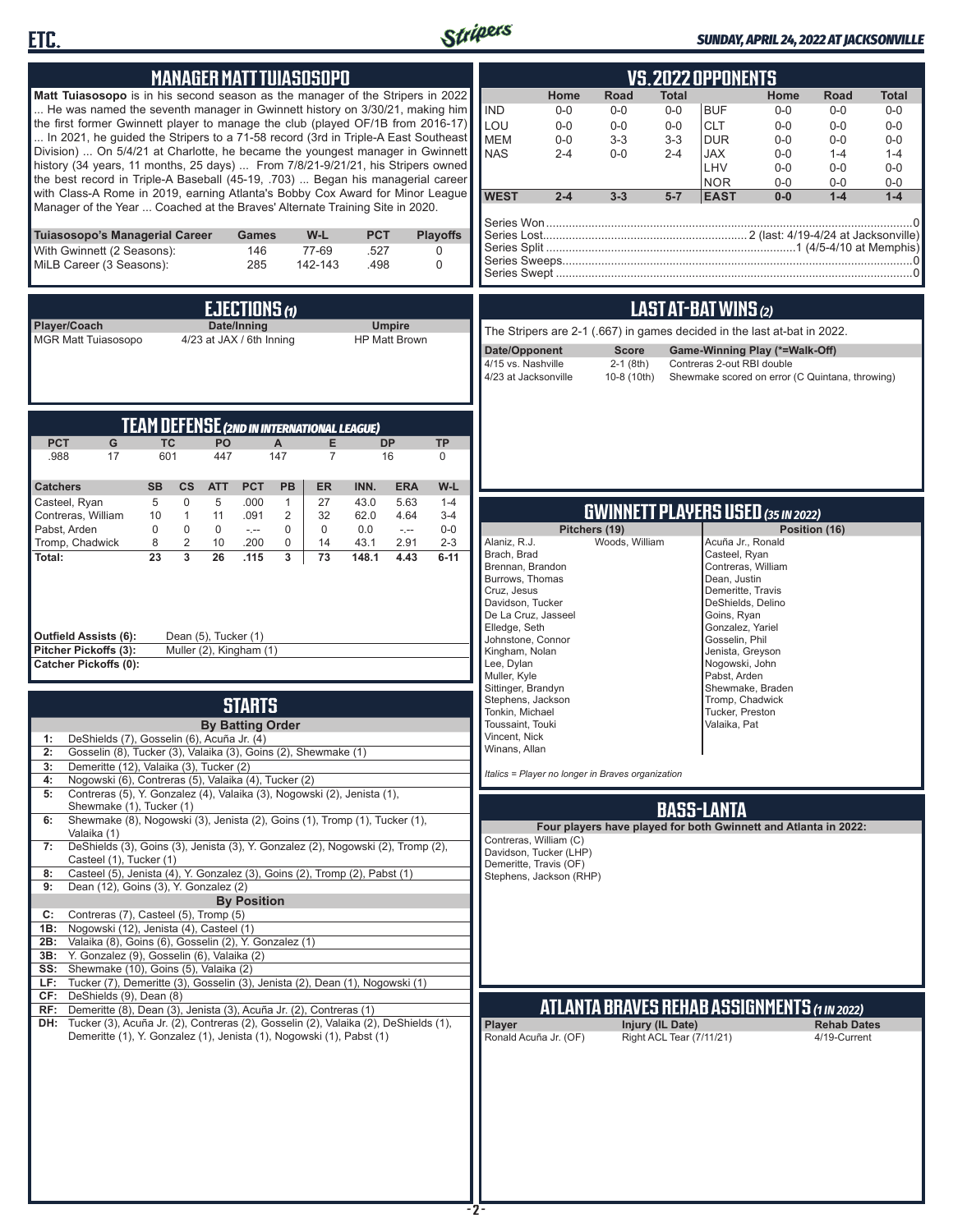



#### *SUNDAY, APRIL 24, 2022 AT JACKSONVILLE*

| <b>MANAGER MATT TUIASOSOPO</b>                                                                                                                                                                                                                                                                                                                                                                                                                                                                                                                                                                                                                                                                                                                                                                                                                                                                                                                                                                                                                                                                                                                                                                                                                                                                                                                                                                              | <b>VS.2022 OPPONENTS</b>                                                                                                                                                                                                                                                                                                                                                                                                                                                                                                                                                                                                  |
|-------------------------------------------------------------------------------------------------------------------------------------------------------------------------------------------------------------------------------------------------------------------------------------------------------------------------------------------------------------------------------------------------------------------------------------------------------------------------------------------------------------------------------------------------------------------------------------------------------------------------------------------------------------------------------------------------------------------------------------------------------------------------------------------------------------------------------------------------------------------------------------------------------------------------------------------------------------------------------------------------------------------------------------------------------------------------------------------------------------------------------------------------------------------------------------------------------------------------------------------------------------------------------------------------------------------------------------------------------------------------------------------------------------|---------------------------------------------------------------------------------------------------------------------------------------------------------------------------------------------------------------------------------------------------------------------------------------------------------------------------------------------------------------------------------------------------------------------------------------------------------------------------------------------------------------------------------------------------------------------------------------------------------------------------|
| Matt Tuiasosopo is in his second season as the manager of the Stripers in 2022<br>He was named the seventh manager in Gwinnett history on 3/30/21, making him<br>the first former Gwinnett player to manage the club (played OF/1B from 2016-17)<br>In 2021, he guided the Stripers to a 71-58 record (3rd in Triple-A East Southeast<br>Division)  On 5/4/21 at Charlotte, he became the youngest manager in Gwinnett<br>history (34 years, 11 months, 25 days)  From 7/8/21-9/21/21, his Stripers owned<br>the best record in Triple-A Baseball (45-19, .703)  Began his managerial career<br>with Class-A Rome in 2019, earning Atlanta's Bobby Cox Award for Minor League<br>Manager of the Year  Coached at the Braves' Alternate Training Site in 2020.                                                                                                                                                                                                                                                                                                                                                                                                                                                                                                                                                                                                                                               | Home<br>Road<br><b>Total</b><br>Home<br><b>Road</b><br>Total<br><b>IND</b><br>$0-0$<br>$0-0$<br>$0-0$<br><b>BUF</b><br>$0-0$<br>$0-0$<br>$0-0$<br>LOU<br>$0 - 0$<br>$0-0$<br>$0-0$<br><b>CLT</b><br>$0 - 0$<br>$0 - 0$<br>$0-0$<br><b>MEM</b><br>$3 - 3$<br>$3-3$<br><b>DUR</b><br>$0 - 0$<br>$0-0$<br>$0-0$<br>$0-0$<br><b>NAS</b><br>$2 - 4$<br>$0 - 0$<br>$2 - 4$<br><b>JAX</b><br>$0 - 0$<br>$1 - 4$<br>$1 - 4$<br>LHV<br>$0 - 0$<br>$0-0$<br>$0-0$<br><b>NOR</b><br>$0-0$<br>$0-0$<br>$0-0$<br><b>WEST</b><br>$2 - 4$<br>$3 - 3$<br>$5 - 7$<br><b>EAST</b><br>$0-0$<br>$1 - 4$<br>$1 - 4$                            |
| Tuiasosopo's Managerial Career<br>$W-L$<br><b>PCT</b><br><b>Playoffs</b><br>Games<br>With Gwinnett (2 Seasons):<br>77-69<br>.527<br>146<br>0<br>MiLB Career (3 Seasons):<br>285<br>142-143<br>.498<br>0                                                                                                                                                                                                                                                                                                                                                                                                                                                                                                                                                                                                                                                                                                                                                                                                                                                                                                                                                                                                                                                                                                                                                                                                     |                                                                                                                                                                                                                                                                                                                                                                                                                                                                                                                                                                                                                           |
| <b>EJECTIONS (1)</b><br>Player/Coach<br>Date/Inning<br><b>Umpire</b><br><b>MGR Matt Tuiasosopo</b><br>4/23 at JAX / 6th Inning<br><b>HP Matt Brown</b>                                                                                                                                                                                                                                                                                                                                                                                                                                                                                                                                                                                                                                                                                                                                                                                                                                                                                                                                                                                                                                                                                                                                                                                                                                                      | LAST AT-BAT WINS (2)<br>The Stripers are 2-1 (.667) in games decided in the last at-bat in 2022.<br>Date/Opponent<br><b>Score</b><br>Game-Winning Play (*=Walk-Off)<br>4/15 vs. Nashville<br>$2-1$ (8th)<br>Contreras 2-out RBI double<br>4/23 at Jacksonville<br>10-8 (10th)<br>Shewmake scored on error (C Quintana, throwing)                                                                                                                                                                                                                                                                                          |
| <b>TEAM DEFENSE (2ND IN INTERNATIONAL LEAGUE)</b><br><b>PCT</b><br>G<br><b>TC</b><br>E<br><b>DP</b><br><b>TP</b><br><b>PO</b><br>A<br>601<br>16<br>.988<br>17<br>447<br>147<br>$\overline{7}$<br>0<br>W-L                                                                                                                                                                                                                                                                                                                                                                                                                                                                                                                                                                                                                                                                                                                                                                                                                                                                                                                                                                                                                                                                                                                                                                                                   |                                                                                                                                                                                                                                                                                                                                                                                                                                                                                                                                                                                                                           |
| $\mathbf 0$<br>5<br>5<br>.000<br>$\mathbf{1}$<br>27<br>$1 - 4$<br>Casteel, Ryan<br>43.0<br>5.63<br>Contreras, William<br>$\mathbf{1}$<br>.091<br>$\overline{2}$<br>32<br>62.0<br>4.64<br>$3 - 4$<br>10<br>11<br>Pabst, Arden<br>$\mathbf 0$<br>$\mathbf 0$<br>0<br>$\mathbf 0$<br>$0-0$<br>$\mathbf 0$<br>$-1$<br>0.0<br>$\sim$<br>Tromp, Chadwick<br>$\overline{c}$<br>0<br>$2 - 3$<br>8<br>10<br>.200<br>14<br>43.1<br>2.91<br>23<br>3<br>26<br>.115<br>3<br>4.43<br>Total:<br>73<br>148.1<br>$6 - 11$<br>Outfield Assists (6):<br>Dean (5), Tucker (1)<br>Muller (2), Kingham (1)<br>Pitcher Pickoffs (3):<br>Catcher Pickoffs (0):                                                                                                                                                                                                                                                                                                                                                                                                                                                                                                                                                                                                                                                                                                                                                                      | <b>GWINNETT PLAYERS USED (35 IN 2022)</b><br>Pitchers (19)<br>Position (16)<br>Woods, William<br>Alaniz, R.J.<br>Acuña Jr., Ronald<br>Brach, Brad<br>Casteel, Ryan<br>Brennan, Brandon<br>Contreras, William<br>Burrows, Thomas<br>Dean, Justin<br>Cruz, Jesus<br>Demeritte, Travis<br>Davidson, Tucker<br>DeShields, Delino<br>De La Cruz, Jasseel<br>Goins, Ryan<br>Elledge, Seth<br>Gonzalez, Yariel<br>Johnstone, Connor<br>Gosselin, Phil<br>Kingham, Nolan<br>Jenista, Greyson<br>Lee, Dylan<br>Nogowski, John<br>Muller, Kyle<br>Pabst, Arden                                                                      |
| <b>STARTS</b><br><b>By Batting Order</b><br>DeShields (7), Gosselin (6), Acuña Jr. (4)<br>1:<br>Gosselin (8), Tucker (3), Valaika (3), Goins (2), Shewmake (1)<br>2:<br>3:<br>Demeritte (12), Valaika (3), Tucker (2)<br>Nogowski (6), Contreras (5), Valaika (4), Tucker (2)<br>4:<br>Contreras (5), Y. Gonzalez (4), Valaika (3), Nogowski (2), Jenista (1),<br>5:<br>Shewmake (1), Tucker (1)<br>Shewmake (8), Nogowski (3), Jenista (2), Goins (1), Tromp (1), Tucker (1),<br>6:<br>Valaika (1)<br>DeShields (3), Goins (3), Jenista (3), Y. Gonzalez (2), Nogowski (2), Tromp (2),<br>7:<br>Casteel (1), Tucker (1)<br>Casteel (5), Jenista (4), Y. Gonzalez (3), Goins (2), Tromp (2), Pabst (1)<br>8:<br>Dean (12), Goins (3), Y. Gonzalez (2)<br>9:<br><b>By Position</b><br>Contreras (7), Casteel (5), Tromp (5)<br>C:<br>1B: Nogowski (12), Jenista (4), Casteel (1)<br>2B: Valaika (8), Goins (6), Gosselin (2), Y. Gonzalez (1)<br>3B: Y. Gonzalez (9), Gosselin (6), Valaika (2)<br>SS: Shewmake (10), Goins (5), Valaika (2)<br>LF: Tucker (7), Demeritte (3), Gosselin (3), Jenista (2), Dean (1), Nogowski (1)<br>CF: DeShields (9), Dean (8)<br>RF: Demeritte (8), Dean (3), Jenista (3), Acuña Jr. (2), Contreras (1)<br>DH: Tucker (3), Acuña Jr. (2), Contreras (2), Gosselin (2), Valaika (2), DeShields (1),<br>Demeritte (1), Y. Gonzalez (1), Jenista (1), Nogowski (1), Pabst (1) | Sittinger, Brandyn<br>Shewmake, Braden<br>Stephens, Jackson<br>Tromp, Chadwick<br>Tucker, Preston<br>Tonkin, Michael<br>Toussaint, Touki<br>Valaika, Pat<br>Vincent, Nick<br>Winans, Allan<br>Italics = Player no longer in Braves organization<br><b>BASS-LANTA</b><br>Four players have played for both Gwinnett and Atlanta in 2022:<br>Contreras, William (C)<br>Davidson, Tucker (LHP)<br>Demeritte, Travis (OF)<br>Stephens, Jackson (RHP)<br>ATLANTA BRAVES REHAB ASSIGNMENTS (1 IN 2022)<br>Player<br>Injury (IL Date)<br><b>Rehab Dates</b><br>Ronald Acuña Jr. (OF)<br>Right ACL Tear (7/11/21)<br>4/19-Current |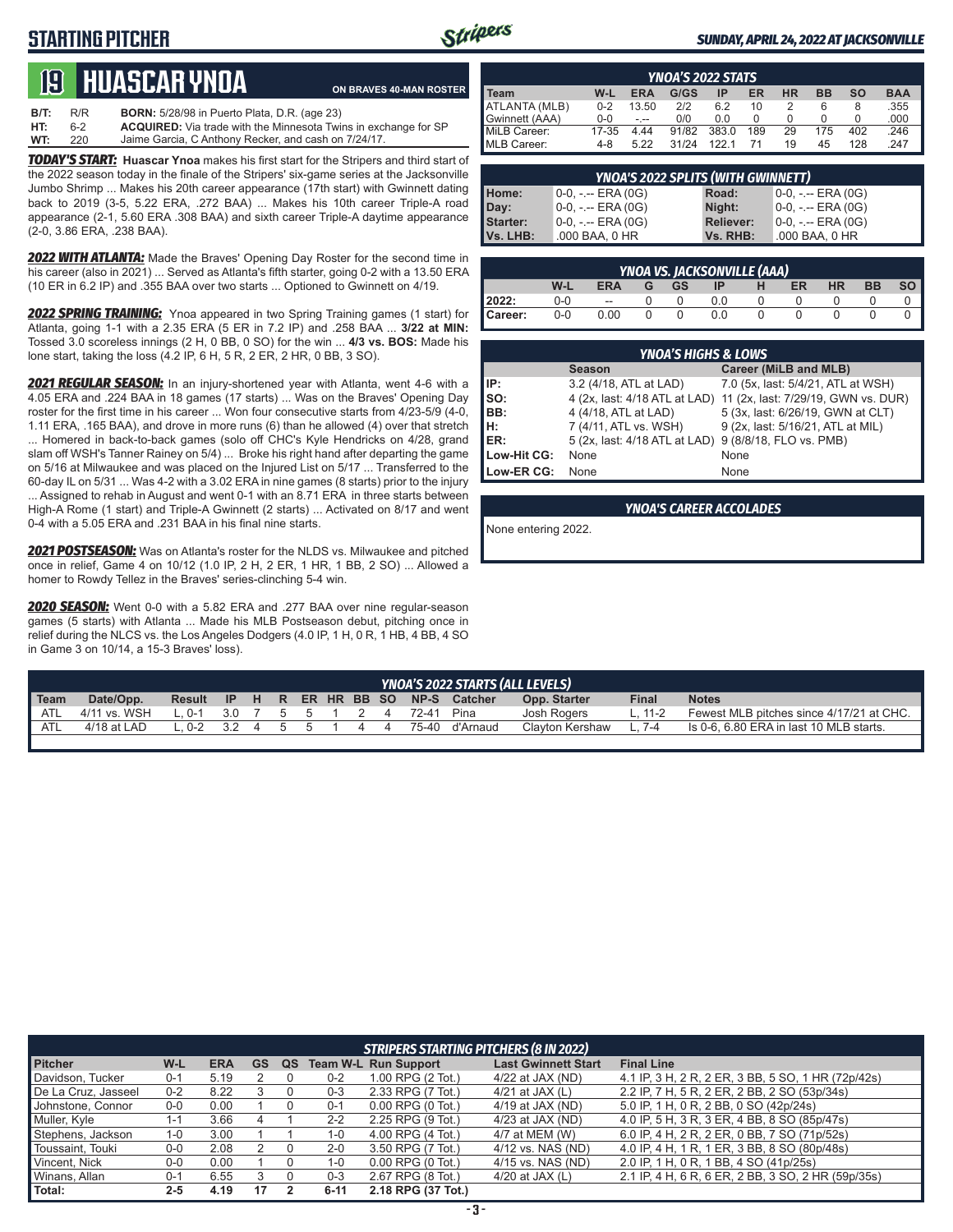## **STARTING PITCHER**



#### *SUNDAY, APRIL 24, 2022 AT JACKSONVILLE*

# **19****Huascar ynoa**

**ON BRAVES 40-MAN ROSTER**

**B/T:** R/R **BORN:** 5/28/98 in Puerto Plata, D.R. (age 23)<br>**HT:** 6-2 **ACQUIRED:** Via trade with the Minnesota Twi **HT:** 6-2 **ACQUIRED:** Via trade with the Minnesota Twins in exchange for SP Jaime Garcia, C Anthony Recker, and cash on 7/24/17.

*TODAY'S START:* **Huascar Ynoa** makes his first start for the Stripers and third start of the 2022 season today in the finale of the Stripers' six-game series at the Jacksonville Jumbo Shrimp ... Makes his 20th career appearance (17th start) with Gwinnett dating back to 2019 (3-5, 5.22 ERA, .272 BAA) ... Makes his 10th career Triple-A road appearance (2-1, 5.60 ERA .308 BAA) and sixth career Triple-A daytime appearance (2-0, 3.86 ERA, .238 BAA).

*2022 WITH ATLANTA:* Made the Braves' Opening Day Roster for the second time in his career (also in 2021) ... Served as Atlanta's fifth starter, going 0-2 with a 13.50 ERA (10 ER in 6.2 IP) and .355 BAA over two starts ... Optioned to Gwinnett on 4/19.

*2022 SPRING TRAINING:* Ynoa appeared in two Spring Training games (1 start) for Atlanta, going 1-1 with a 2.35 ERA (5 ER in 7.2 IP) and .258 BAA ... **3/22 at MIN:** Tossed 3.0 scoreless innings (2 H, 0 BB, 0 SO) for the win ... **4/3 vs. BOS:** Made his lone start, taking the loss (4.2 IP, 6 H, 5 R, 2 ER, 2 HR, 0 BB, 3 SO).

*2021 REGULAR SEASON:* In an injury-shortened year with Atlanta, went 4-6 with a 4.05 ERA and .224 BAA in 18 games (17 starts) ... Was on the Braves' Opening Day roster for the first time in his career ... Won four consecutive starts from 4/23-5/9 (4-0, 1.11 ERA, .165 BAA), and drove in more runs (6) than he allowed (4) over that stretch ... Homered in back-to-back games (solo off CHC's Kyle Hendricks on 4/28, grand slam off WSH's Tanner Rainey on 5/4) ... Broke his right hand after departing the game on 5/16 at Milwaukee and was placed on the Injured List on 5/17 ... Transferred to the 60-day IL on 5/31 ... Was 4-2 with a 3.02 ERA in nine games (8 starts) prior to the injury ... Assigned to rehab in August and went 0-1 with an 8.71 ERA in three starts between High-A Rome (1 start) and Triple-A Gwinnett (2 starts) ... Activated on 8/17 and went 0-4 with a 5.05 ERA and .231 BAA in his final nine starts.

*2021 POSTSEASON:* Was on Atlanta's roster for the NLDS vs. Milwaukee and pitched once in relief, Game 4 on 10/12 (1.0 IP, 2 H, 2 ER, 1 HR, 1 BB, 2 SO) ... Allowed a homer to Rowdy Tellez in the Braves' series-clinching 5-4 win.

*2020 SEASON:* Went 0-0 with a 5.82 ERA and .277 BAA over nine regular-season games (5 starts) with Atlanta ... Made his MLB Postseason debut, pitching once in relief during the NLCS vs. the Los Angeles Dodgers (4.0 IP, 1 H, 0 R, 1 HB, 4 BB, 4 SO in Game 3 on 10/14, a 15-3 Braves' loss).

| <b>YNOA'S 2022 STATS</b> |         |            |       |       |     |           |           |           |            |
|--------------------------|---------|------------|-------|-------|-----|-----------|-----------|-----------|------------|
| <b>I</b> Team            | W-L     | <b>ERA</b> | G/GS  | ΙP    | ER  | <b>HR</b> | <b>BB</b> | <b>SO</b> | <b>BAA</b> |
| ATLANTA (MLB)            | $0 - 2$ | 13.50      | 2/2   | 6.2   | 10  |           | 6         | 8         | .355       |
| Gwinnett (AAA)           | $0 - 0$ | - --       | 0/0   | 0.0   |     |           |           |           | .000       |
| MiLB Career:             | 17-35   | 4.44       | 91/82 | 383.0 | 189 | 29        | 175       | 402       | .246       |
| MLB Career:              | 4-8     | 5.22       | 31/24 | 1221  |     | 19        | 45        | 128       | 247        |

| <b>YNOA'S 2022 SPLITS (WITH GWINNETT)</b> |                       |                  |                       |  |  |
|-------------------------------------------|-----------------------|------------------|-----------------------|--|--|
|                                           | $0-0, - -$ ERA (0G)   | Road:            | $0-0, - -$ ERA $(0G)$ |  |  |
|                                           | 0-0, -.-- ERA (0G)    | Night:           | $0-0, - -$ ERA $(0G)$ |  |  |
|                                           | $0-0, - -$ ERA $(0G)$ | <b>Reliever:</b> | $0-0, - -$ ERA $(0G)$ |  |  |
| Home:<br>Day:<br>Starter:<br>Vs. LHB:     | .000 BAA, 0 HR        | Vs. RHB:         | .000 BAA, 0 HR        |  |  |

| <b>YNOA VS. JACKSONVILLE (AAA)</b> |         |                          |   |              |           |        |           |           |           |           |  |
|------------------------------------|---------|--------------------------|---|--------------|-----------|--------|-----------|-----------|-----------|-----------|--|
|                                    | W-L     | <b>ERA</b>               | G | GS.          | <b>IP</b> |        | <b>ER</b> | <b>HR</b> | <b>BB</b> | <b>SO</b> |  |
| 2022:                              | $0-0$   | $\overline{\phantom{a}}$ |   |              | 0.0       |        |           |           |           |           |  |
| Career:                            | $0 - 0$ | 0.00                     |   | <sup>n</sup> | 0.0       | $\cup$ |           |           |           |           |  |

|                 | <b>YNOA'S HIGHS &amp; LOWS</b>                        |                                                                   |  |  |  |  |  |  |  |  |
|-----------------|-------------------------------------------------------|-------------------------------------------------------------------|--|--|--|--|--|--|--|--|
|                 | <b>Season</b>                                         | <b>Career (MiLB and MLB)</b>                                      |  |  |  |  |  |  |  |  |
| IP:             | 3.2 (4/18, ATL at LAD)                                | 7.0 (5x, last: 5/4/21, ATL at WSH)                                |  |  |  |  |  |  |  |  |
| $\mathsf{Iso}:$ |                                                       | 4 (2x, last: 4/18 ATL at LAD) 11 (2x, last: 7/29/19, GWN vs. DUR) |  |  |  |  |  |  |  |  |
| BB:             | 4 (4/18, ATL at LAD)                                  | 5 (3x, last: 6/26/19, GWN at CLT)                                 |  |  |  |  |  |  |  |  |
| Iн:             | 7 (4/11, ATL vs. WSH)                                 | 9 (2x, last: 5/16/21, ATL at MIL)                                 |  |  |  |  |  |  |  |  |
| ER:             | 5 (2x, last: 4/18 ATL at LAD) 9 (8/8/18, FLO vs. PMB) |                                                                   |  |  |  |  |  |  |  |  |
| Low-Hit CG:     | None                                                  | None                                                              |  |  |  |  |  |  |  |  |
| Low-ER CG:      | None                                                  | None                                                              |  |  |  |  |  |  |  |  |

*YNOA'S CAREER ACCOLADES*

None entering 2022.

|             | <b>YNOA'S 2022 STARTS (ALL LEVELS)</b> |                 |  |  |              |        |  |  |    |                       |                                        |                 |         |                                          |
|-------------|----------------------------------------|-----------------|--|--|--------------|--------|--|--|----|-----------------------|----------------------------------------|-----------------|---------|------------------------------------------|
| <b>Team</b> | Date/Opp.                              |                 |  |  |              |        |  |  |    |                       | Result IP H R ER HR BB SO NP-S Catcher | Opp. Starter    | Final   | <b>Notes</b>                             |
| ATL         | 4/11 vs. WSH                           | $L.0-1$         |  |  |              |        |  |  |    | 3.0 7 5 5 1 2 4 72-41 | Pina                                   | Josh Rogers     | L. 11-2 | Fewest MLB pitches since 4/17/21 at CHC. |
| ATL         | $4/18$ at LAD                          | $1.0-2$ 3.2 4 . |  |  | $\mathbf{b}$ | $\sim$ |  |  | 44 |                       | 75-40 d'Arnaud                         | Clavton Kershaw | 7-4     | Is 0-6, 6.80 ERA in last 10 MLB starts.  |
|             |                                        |                 |  |  |              |        |  |  |    |                       |                                        |                 |         |                                          |

|                     |         |            |    |    |          | <b>STRIPERS STARTING PITCHERS (8 IN 2022)</b> |                            |                                                    |
|---------------------|---------|------------|----|----|----------|-----------------------------------------------|----------------------------|----------------------------------------------------|
| <b>Pitcher</b>      | W-L     | <b>ERA</b> | GS | QS |          | <b>Team W-L Run Support</b>                   | <b>Last Gwinnett Start</b> | <b>Final Line</b>                                  |
| Davidson, Tucker    | $0 - 1$ | 5.19       |    |    | $0 - 2$  | 1.00 RPG (2 Tot.)                             | $4/22$ at JAX (ND)         | 4.1 IP, 3 H, 2 R, 2 ER, 3 BB, 5 SO, 1 HR (72p/42s) |
| De La Cruz, Jasseel | $0 - 2$ | 8.22       |    |    | $0 - 3$  | 2.33 RPG (7 Tot.)                             | 4/21 at JAX $(L)$          | 2.2 IP, 7 H, 5 R, 2 ER, 2 BB, 2 SO (53p/34s)       |
| Johnstone, Connor   | $0-0$   | 0.00       |    |    | $0 - 1$  | $0.00$ RPG $(0$ Tot.)                         | 4/19 at JAX (ND)           | 5.0 IP, 1 H, 0 R, 2 BB, 0 SO (42p/24s)             |
| Muller, Kyle        | 1-1     | 3.66       |    |    | $2 - 2$  | 2.25 RPG (9 Tot.)                             | 4/23 at JAX (ND)           | 4.0 IP, 5 H, 3 R, 3 ER, 4 BB, 8 SO (85p/47s)       |
| Stephens, Jackson   | 1-0     | 3.00       |    |    | $1 - 0$  | 4.00 RPG (4 Tot.)                             | 4/7 at MEM (W)             | 6.0 IP, 4 H, 2 R, 2 ER, 0 BB, 7 SO (71p/52s)       |
| Toussaint, Touki    | 0-0     | 2.08       |    |    | $2 - 0$  | 3.50 RPG (7 Tot.)                             | 4/12 vs. NAS (ND)          | 4.0 IP, 4 H, 1 R, 1 ER, 3 BB, 8 SO (80p/48s)       |
| Vincent, Nick       | 0-0     | 0.00       |    |    | 1-0      | $0.00$ RPG $(0$ Tot.)                         | 4/15 vs. NAS (ND)          | 2.0 IP, 1 H, 0 R, 1 BB, 4 SO (41p/25s)             |
| Winans, Allan       | $0 - 1$ | 6.55       |    |    | $0 - 3$  | 2.67 RPG (8 Tot.)                             | 4/20 at JAX $(L)$          | 2.1 IP, 4 H, 6 R, 6 ER, 2 BB, 3 SO, 2 HR (59p/35s) |
| Total:              | $2 - 5$ | 4.19       | 17 |    | $6 - 11$ | 2.18 RPG (37 Tot.)                            |                            |                                                    |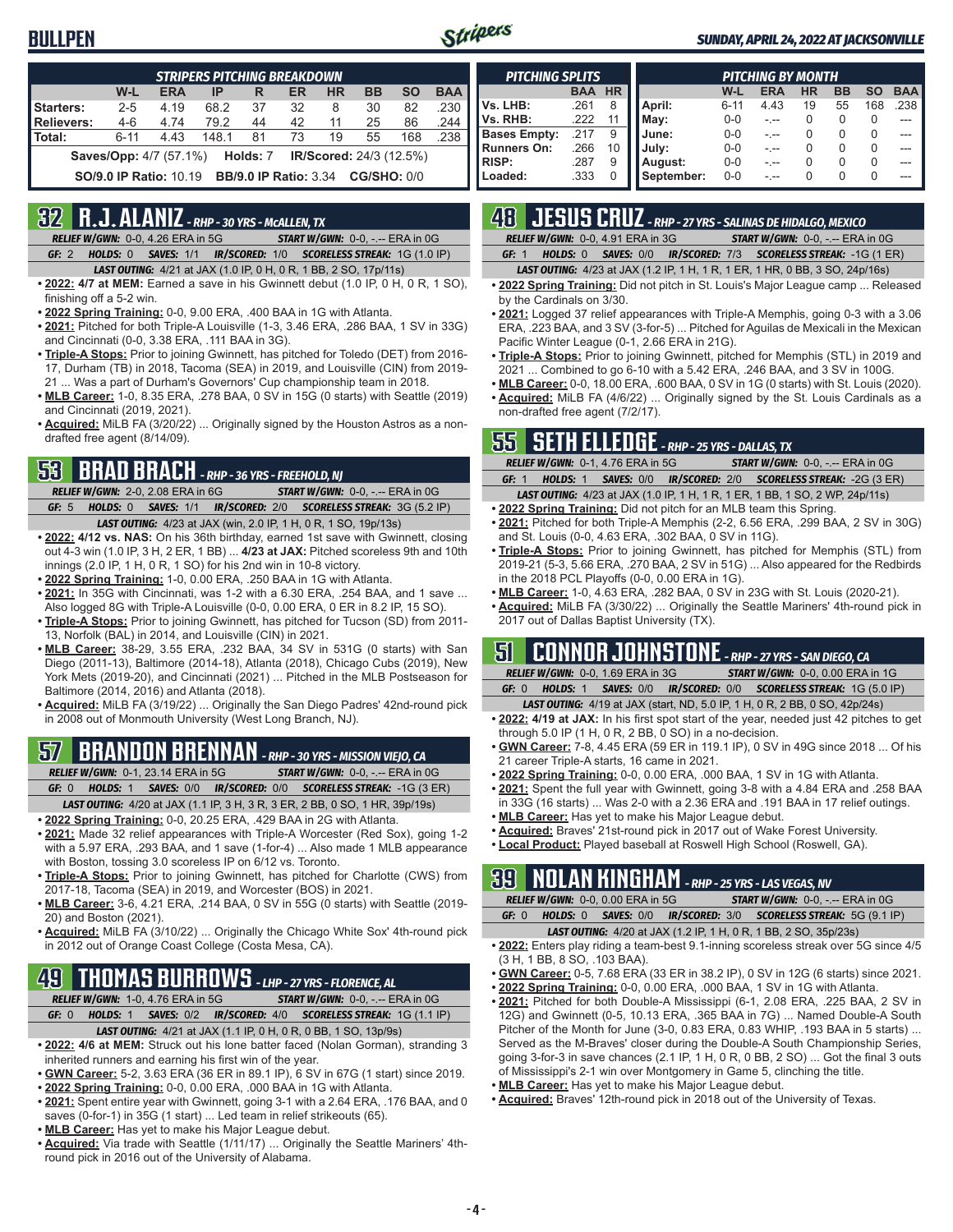### **BULLPEN**



#### *SUNDAY, APRIL 24, 2022 AT JACKSONVILLE*

| <b>STRIPERS PITCHING BREAKDOWN</b>                                                      |          |      |       |    |    |    |    |     |      |  |  |
|-----------------------------------------------------------------------------------------|----------|------|-------|----|----|----|----|-----|------|--|--|
| W-L<br><b>ERA</b><br><b>HR</b><br><b>BB</b><br><b>SO</b><br><b>BAA</b><br>ER<br>IP<br>R |          |      |       |    |    |    |    |     |      |  |  |
| Starters:                                                                               | $2 - 5$  | 4.19 | 68.2  | 37 | 32 | 8  | 30 | 82  | .230 |  |  |
| Relievers:                                                                              | $4 - 6$  | 4.74 | 79.2  | 44 | 42 | 11 | 25 | 86  | .244 |  |  |
| Total:                                                                                  | $6 - 11$ | 4.43 | 148.1 | 81 | 73 | 19 | 55 | 168 | .238 |  |  |
| <b>Saves/Opp:</b> 4/7 (57.1%) <b>Holds: 7 IR/Scored:</b> 24/3 (12.5%)                   |          |      |       |    |    |    |    |     |      |  |  |
| <b>CG/SHO: 0/0</b><br><b>SO/9.0 IP Ratio: 10.19 BB/9.0 IP Ratio: 3.34</b>               |          |      |       |    |    |    |    |     |      |  |  |

### **32 R.J. ALANIZ** *- RHP - 30 YRS - McALLEN, TX*

*RELIEF W/GWN:*0-0, 4.26 ERA in 5G *START W/GWN:*0-0, -.-- ERA in 0G *GF:*2 *HOLDS:*0 *SAVES:*1/1 *IR/SCORED:*1/0 *SCORELESS STREAK:*1G (1.0 IP)

- *LAST OUTING:*4/21 at JAX (1.0 IP, 0 H, 0 R, 1 BB, 2 SO, 17p/11s)
- **• 2022: 4/7 at MEM:** Earned a save in his Gwinnett debut (1.0 IP, 0 H, 0 R, 1 SO), finishing off a 5-2 win.
- **• 2022 Spring Training:** 0-0, 9.00 ERA, .400 BAA in 1G with Atlanta.
- **• 2021:** Pitched for both Triple-A Louisville (1-3, 3.46 ERA, .286 BAA, 1 SV in 33G) and Cincinnati (0-0, 3.38 ERA, .111 BAA in 3G).
- **• Triple-A Stops:** Prior to joining Gwinnett, has pitched for Toledo (DET) from 2016- 17, Durham (TB) in 2018, Tacoma (SEA) in 2019, and Louisville (CIN) from 2019- 21 ... Was a part of Durham's Governors' Cup championship team in 2018.
- **• MLB Career:** 1-0, 8.35 ERA, .278 BAA, 0 SV in 15G (0 starts) with Seattle (2019) and Cincinnati (2019, 2021).
- **• Acquired:** MiLB FA (3/20/22) ... Originally signed by the Houston Astros as a nondrafted free agent (8/14/09).

# **53 BRAD BRACH** *- RHP - 36 YRS - FREEHOLD, NJ*

*RELIEF W/GWN:*2-0, 2.08 ERA in 6G *START W/GWN:*0-0, -.-- ERA in 0G *GF:*5 *HOLDS:*0 *SAVES:*1/1 *IR/SCORED:*2/0 *SCORELESS STREAK:*3G (5.2 IP)

- *LAST OUTING:*4/23 at JAX (win, 2.0 IP, 1 H, 0 R, 1 SO, 19p/13s) **• 2022: 4/12 vs. NAS:** On his 36th birthday, earned 1st save with Gwinnett, closing out 4-3 win (1.0 IP, 3 H, 2 ER, 1 BB) ... **4/23 at JAX:** Pitched scoreless 9th and 10th innings (2.0 IP, 1 H, 0 R, 1 SO) for his 2nd win in 10-8 victory.
- **• 2022 Spring Training:** 1-0, 0.00 ERA, .250 BAA in 1G with Atlanta.
- **• 2021:** In 35G with Cincinnati, was 1-2 with a 6.30 ERA, .254 BAA, and 1 save ... Also logged 8G with Triple-A Louisville (0-0, 0.00 ERA, 0 ER in 8.2 IP, 15 SO).
- **• Triple-A Stops:** Prior to joining Gwinnett, has pitched for Tucson (SD) from 2011- 13, Norfolk (BAL) in 2014, and Louisville (CIN) in 2021.
- **• MLB Career:** 38-29, 3.55 ERA, .232 BAA, 34 SV in 531G (0 starts) with San Diego (2011-13), Baltimore (2014-18), Atlanta (2018), Chicago Cubs (2019), New York Mets (2019-20), and Cincinnati (2021) ... Pitched in the MLB Postseason for Baltimore (2014, 2016) and Atlanta (2018).
- **• Acquired:** MiLB FA (3/19/22) ... Originally the San Diego Padres' 42nd-round pick in 2008 out of Monmouth University (West Long Branch, NJ).

# **57 BRANDON BRENNAN** *- RHP - 30 YRS - MISSION VIEJO, CA*

*RELIEF W/GWN:*0-1, 23.14 ERA in 5G *START W/GWN:*0-0, -.-- ERA in 0G

*GF:*0 *HOLDS:*1 *SAVES:*0/0 *IR/SCORED:*0/0 *SCORELESS STREAK:*-1G (3 ER)

- *LAST OUTING:*4/20 at JAX (1.1 IP, 3 H, 3 R, 3 ER, 2 BB, 0 SO, 1 HR, 39p/19s)
- **• 2022 Spring Training:** 0-0, 20.25 ERA, .429 BAA in 2G with Atlanta.
- **• 2021:** Made 32 relief appearances with Triple-A Worcester (Red Sox), going 1-2 with a 5.97 ERA, .293 BAA, and 1 save (1-for-4) ... Also made 1 MLB appearance with Boston, tossing 3.0 scoreless IP on 6/12 vs. Toronto.
- **• Triple-A Stops:** Prior to joining Gwinnett, has pitched for Charlotte (CWS) from 2017-18, Tacoma (SEA) in 2019, and Worcester (BOS) in 2021.
- **• MLB Career:** 3-6, 4.21 ERA, .214 BAA, 0 SV in 55G (0 starts) with Seattle (2019- 20) and Boston (2021).
- **• Acquired:** MiLB FA (3/10/22) ... Originally the Chicago White Sox' 4th-round pick in 2012 out of Orange Coast College (Costa Mesa, CA).

## **49 THOMAS BURROWS** *- LHP - 27 YRS - FLORENCE, AL*

*RELIEF W/GWN:*1-0, 4.76 ERA in 5G *START W/GWN:*0-0, -.-- ERA in 0G

- *GF:*0 *HOLDS:*1 *SAVES:*0/2 *IR/SCORED:*4/0 *SCORELESS STREAK:*1G (1.1 IP)
	- *LAST OUTING:*4/21 at JAX (1.1 IP, 0 H, 0 R, 0 BB, 1 SO, 13p/9s)
- **• 2022: 4/6 at MEM:** Struck out his lone batter faced (Nolan Gorman), stranding 3 inherited runners and earning his first win of the year.
- **• GWN Career:** 5-2, 3.63 ERA (36 ER in 89.1 IP), 6 SV in 67G (1 start) since 2019.
- **• 2022 Spring Training:** 0-0, 0.00 ERA, .000 BAA in 1G with Atlanta.
- **• 2021:** Spent entire year with Gwinnett, going 3-1 with a 2.64 ERA, .176 BAA, and 0 saves (0-for-1) in 35G (1 start) ... Led team in relief strikeouts (65).
- **• MLB Career:** Has yet to make his Major League debut.
- **• Acquired:** Via trade with Seattle (1/11/17) ... Originally the Seattle Mariners' 4thround pick in 2016 out of the University of Alabama.

| <b>PITCHING SPLITS</b> |            |           | PITCHING BY MONTH |          |            |           |           |           |            |  |  |  |
|------------------------|------------|-----------|-------------------|----------|------------|-----------|-----------|-----------|------------|--|--|--|
|                        | <b>BAA</b> | <b>HR</b> |                   | W-L      | <b>ERA</b> | <b>HR</b> | <b>BB</b> | <b>SO</b> | <b>BAA</b> |  |  |  |
| Vs. LHB:               | .261       | 8         | April:            | $6 - 11$ | 4.43       | 19        | 55        | 168       | 238        |  |  |  |
| Vs. RHB:               | .222       | 11        | May:              | $0 - 0$  |            |           |           |           |            |  |  |  |
| <b>Bases Empty:</b>    | 217        | 9         | June:             | $0 - 0$  |            |           |           | 0         |            |  |  |  |
| <b>Runners On:</b>     | .266       | 10        | July:             | $0 - 0$  |            |           | $\Omega$  | 0         |            |  |  |  |
| <b>RISP:</b>           | .287       | 9         | August:           | $0 - 0$  |            |           | $\Omega$  | 0         | ---        |  |  |  |
| Loaded:                | .333       | O         | September:        | $0 - 0$  |            |           |           | $\Omega$  | ---        |  |  |  |

# **48 JESUS CRUZ** *- RHP - 27 YRS - SALINAS DE HIDALGO, MEXICO*

|  |                                                                       | the contract of the contract of the contract of the contract of the contract of the contract of the contract of |                                         |  |  |
|--|-----------------------------------------------------------------------|-----------------------------------------------------------------------------------------------------------------|-----------------------------------------|--|--|
|  | <b>RELIEF W/GWN: 0-0, 4.91 ERA in 3G</b>                              |                                                                                                                 | <b>START W/GWN: 0-0, -.-- ERA in 0G</b> |  |  |
|  | GF: 1 HOLDS: 0 SAVES: 0/0 IR/SCORED: 7/3 SCORELESS STREAK: -1G (1 ER) |                                                                                                                 |                                         |  |  |

*LAST OUTING:*4/23 at JAX (1.2 IP, 1 H, 1 R, 1 ER, 1 HR, 0 BB, 3 SO, 24p/16s)

- **• 2022 Spring Training:** Did not pitch in St. Louis's Major League camp ... Released by the Cardinals on 3/30.
- **• 2021:** Logged 37 relief appearances with Triple-A Memphis, going 0-3 with a 3.06 ERA, .223 BAA, and 3 SV (3-for-5) ... Pitched for Aguilas de Mexicali in the Mexican Pacific Winter League (0-1, 2.66 ERA in 21G).
- **• Triple-A Stops:** Prior to joining Gwinnett, pitched for Memphis (STL) in 2019 and 2021 ... Combined to go 6-10 with a 5.42 ERA, .246 BAA, and 3 SV in 100G.
- **• MLB Career:** 0-0, 18.00 ERA, .600 BAA, 0 SV in 1G (0 starts) with St. Louis (2020). **• Acquired:** MiLB FA (4/6/22) ... Originally signed by the St. Louis Cardinals as a non-drafted free agent (7/2/17).

### **55 SETH ELLEDGE** *- RHP - 25 YRS - DALLAS, TX*

|       | <b>RELIEF W/GWN: 0-1, 4.76 ERA in 5G</b> | <b>START W/GWN: 0-0, -.-- ERA in 0G</b>                                             |
|-------|------------------------------------------|-------------------------------------------------------------------------------------|
| GF: 1 |                                          | <b>HOLDS: 1 SAVES: 0/0 IR/SCORED: 2/0 SCORELESS STREAK: -2G (3 ER)</b>              |
|       |                                          | <b>LAST OUTING:</b> 4/23 at JAX (1.0 IP, 1 H, 1 R, 1 ER, 1 BB, 1 SO, 2 WP, 24p/11s) |

- **• 2022 Spring Training:** Did not pitch for an MLB team this Spring. **• 2021:** Pitched for both Triple-A Memphis (2-2, 6.56 ERA, .299 BAA, 2 SV in 30G)
- and St. Louis (0-0, 4.63 ERA, .302 BAA, 0 SV in 11G). **• Triple-A Stops:** Prior to joining Gwinnett, has pitched for Memphis (STL) from 2019-21 (5-3, 5.66 ERA, .270 BAA, 2 SV in 51G) ... Also appeared for the Redbirds in the 2018 PCL Playoffs (0-0, 0.00 ERA in 1G).
- **• MLB Career:** 1-0, 4.63 ERA, .282 BAA, 0 SV in 23G with St. Louis (2020-21).
- **• Acquired:** MiLB FA (3/30/22) ... Originally the Seattle Mariners' 4th-round pick in 2017 out of Dallas Baptist University (TX).

## **51 CONNOR JOHNSTONE** *- RHP - 27 YRS - SAN DIEGO, CA*

*RELIEF W/GWN:*0-0, 1.69 ERA in 3G *START W/GWN:*0-0, 0.00 ERA in 1G *GF:*0 *HOLDS:*1 *SAVES:*0/0 *IR/SCORED:*0/0 *SCORELESS STREAK:*1G (5.0 IP)

- *LAST OUTING:*4/19 at JAX (start, ND, 5.0 IP, 1 H, 0 R, 2 BB, 0 SO, 42p/24s)
- **• 2022: 4/19 at JAX:** In his first spot start of the year, needed just 42 pitches to get through 5.0 IP (1 H, 0 R, 2 BB, 0 SO) in a no-decision.
- **• GWN Career:** 7-8, 4.45 ERA (59 ER in 119.1 IP), 0 SV in 49G since 2018 ... Of his 21 career Triple-A starts, 16 came in 2021.
- **• 2022 Spring Training:** 0-0, 0.00 ERA, .000 BAA, 1 SV in 1G with Atlanta.
- **• 2021:** Spent the full year with Gwinnett, going 3-8 with a 4.84 ERA and .258 BAA in 33G (16 starts) ... Was 2-0 with a 2.36 ERA and .191 BAA in 17 relief outings.
- **• MLB Career:** Has yet to make his Major League debut.
- **• Acquired:** Braves' 21st-round pick in 2017 out of Wake Forest University.
- **• Local Product:** Played baseball at Roswell High School (Roswell, GA).

## **39 NOLAN KINGHAM** *- RHP - 25 YRS - LAS VEGAS, NV*

|       | RELIEF W/GWN: 0-0, 0.00 ERA in 5G | <b>START W/GWN: <math>0-0</math>.</b> -.-- ERA in $0G$                  |
|-------|-----------------------------------|-------------------------------------------------------------------------|
| GF: 0 |                                   | <b>HOLDS: 0 SAVES: 0/0 IR/SCORED: 3/0 SCORELESS STREAK: 5G (9.1 IP)</b> |
|       |                                   |                                                                         |

- *LAST OUTING:*4/20 at JAX (1.2 IP, 1 H, 0 R, 1 BB, 2 SO, 35p/23s)
- **• 2022:** Enters play riding a team-best 9.1-inning scoreless streak over 5G since 4/5 (3 H, 1 BB, 8 SO, .103 BAA).
- **• GWN Career:** 0-5, 7.68 ERA (33 ER in 38.2 IP), 0 SV in 12G (6 starts) since 2021.
- **• 2022 Spring Training:** 0-0, 0.00 ERA, .000 BAA, 1 SV in 1G with Atlanta.
- **• 2021:** Pitched for both Double-A Mississippi (6-1, 2.08 ERA, .225 BAA, 2 SV in 12G) and Gwinnett (0-5, 10.13 ERA, .365 BAA in 7G) ... Named Double-A South Pitcher of the Month for June (3-0, 0.83 ERA, 0.83 WHIP, .193 BAA in 5 starts) ... Served as the M-Braves' closer during the Double-A South Championship Series, going 3-for-3 in save chances (2.1 IP, 1 H, 0 R, 0 BB, 2 SO) ... Got the final 3 outs of Mississippi's 2-1 win over Montgomery in Game 5, clinching the title.
- **• MLB Career:** Has yet to make his Major League debut.
- **• Acquired:** Braves' 12th-round pick in 2018 out of the University of Texas.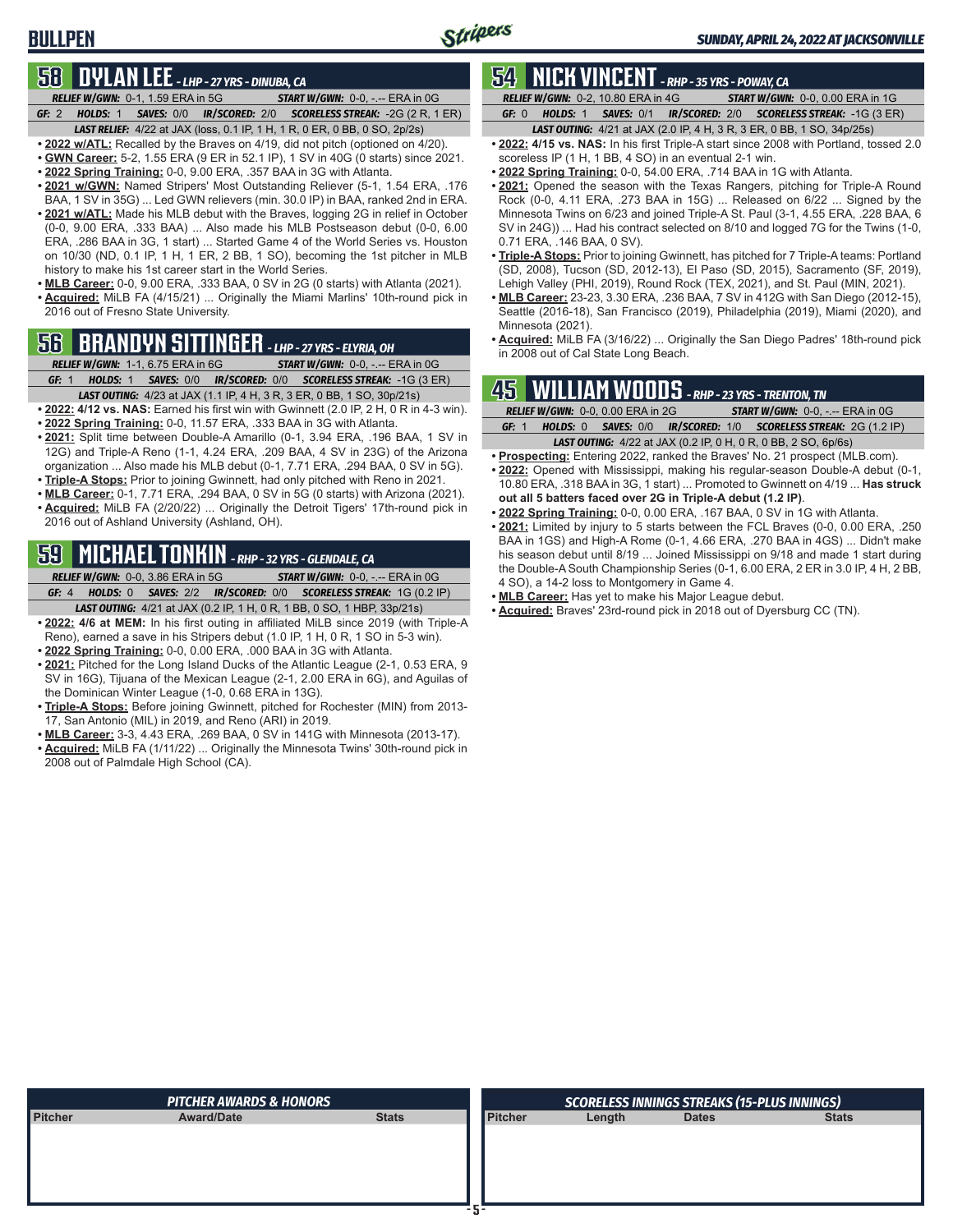## **58 DYLAN LEE** *- LHP - 27 YRS - DINUBA, CA*

- *RELIEF W/GWN:*0-1, 1.59 ERA in 5G *START W/GWN:*0-0, -.-- ERA in 0G *GF:*2 *HOLDS:*1 *SAVES:*0/0 *IR/SCORED:*2/0 *SCORELESS STREAK:*-2G (2 R, 1 ER)
- *LAST RELIEF:*4/22 at JAX (loss, 0.1 IP, 1 H, 1 R, 0 ER, 0 BB, 0 SO, 2p/2s)
- **• 2022 w/ATL:** Recalled by the Braves on 4/19, did not pitch (optioned on 4/20). **• GWN Career:** 5-2, 1.55 ERA (9 ER in 52.1 IP), 1 SV in 40G (0 starts) since 2021.
- **• 2022 Spring Training:** 0-0, 9.00 ERA, .357 BAA in 3G with Atlanta.
- **• 2021 w/GWN:** Named Stripers' Most Outstanding Reliever (5-1, 1.54 ERA, .176 BAA, 1 SV in 35G) ... Led GWN relievers (min. 30.0 IP) in BAA, ranked 2nd in ERA.
- **• 2021 w/ATL:** Made his MLB debut with the Braves, logging 2G in relief in October (0-0, 9.00 ERA, .333 BAA) ... Also made his MLB Postseason debut (0-0, 6.00 ERA, .286 BAA in 3G, 1 start) ... Started Game 4 of the World Series vs. Houston on 10/30 (ND, 0.1 IP, 1 H, 1 ER, 2 BB, 1 SO), becoming the 1st pitcher in MLB history to make his 1st career start in the World Series.
- **• MLB Career:** 0-0, 9.00 ERA, .333 BAA, 0 SV in 2G (0 starts) with Atlanta (2021). **• Acquired:** MiLB FA (4/15/21) ... Originally the Miami Marlins' 10th-round pick in 2016 out of Fresno State University.

# **56 BRANDYN SITTINGER** *- LHP - 27 YRS - ELYRIA, OH*

- *RELIEF W/GWN:*1-1, 6.75 ERA in 6G *START W/GWN:*0-0, -.-- ERA in 0G *GF:*1 *HOLDS:*1 *SAVES:*0/0 *IR/SCORED:*0/0 *SCORELESS STREAK:*-1G (3 ER)
- *LAST OUTING:*4/23 at JAX (1.1 IP, 4 H, 3 R, 3 ER, 0 BB, 1 SO, 30p/21s)
- **• 2022: 4/12 vs. NAS:** Earned his first win with Gwinnett (2.0 IP, 2 H, 0 R in 4-3 win).
- **• 2022 Spring Training:** 0-0, 11.57 ERA, .333 BAA in 3G with Atlanta.
- **• 2021:** Split time between Double-A Amarillo (0-1, 3.94 ERA, .196 BAA, 1 SV in 12G) and Triple-A Reno (1-1, 4.24 ERA, .209 BAA, 4 SV in 23G) of the Arizona organization ... Also made his MLB debut (0-1, 7.71 ERA, .294 BAA, 0 SV in 5G).
- **• Triple-A Stops:** Prior to joining Gwinnett, had only pitched with Reno in 2021.
- **• MLB Career:** 0-1, 7.71 ERA, .294 BAA, 0 SV in 5G (0 starts) with Arizona (2021).
- **• Acquired:** MiLB FA (2/20/22) ... Originally the Detroit Tigers' 17th-round pick in 2016 out of Ashland University (Ashland, OH).

# **59 MICHAEL TONKIN** *- RHP - 32 YRS - GLENDALE, CA*

*RELIEF W/GWN:*0-0, 3.86 ERA in 5G *START W/GWN:*0-0, -.-- ERA in 0G *GF:*4 *HOLDS:*0 *SAVES:*2/2 *IR/SCORED:*0/0 *SCORELESS STREAK:*1G (0.2 IP)

- *LAST OUTING:*4/21 at JAX (0.2 IP, 1 H, 0 R, 1 BB, 0 SO, 1 HBP, 33p/21s)
- **• 2022: 4/6 at MEM:** In his first outing in affiliated MiLB since 2019 (with Triple-A Reno), earned a save in his Stripers debut (1.0 IP, 1 H, 0 R, 1 SO in 5-3 win).
- **• 2022 Spring Training:** 0-0, 0.00 ERA, .000 BAA in 3G with Atlanta.
- **• 2021:** Pitched for the Long Island Ducks of the Atlantic League (2-1, 0.53 ERA, 9 SV in 16G), Tijuana of the Mexican League (2-1, 2.00 ERA in 6G), and Aguilas of the Dominican Winter League (1-0, 0.68 ERA in 13G).
- **• Triple-A Stops:** Before joining Gwinnett, pitched for Rochester (MIN) from 2013- 17, San Antonio (MIL) in 2019, and Reno (ARI) in 2019.
- **• MLB Career:** 3-3, 4.43 ERA, .269 BAA, 0 SV in 141G with Minnesota (2013-17).
- **• Acquired:** MiLB FA (1/11/22) ... Originally the Minnesota Twins' 30th-round pick in 2008 out of Palmdale High School (CA).

# **54 NICK VINCENT** *- RHP - 35 YRS - POWAY, CA*

*RELIEF W/GWN:*0-2, 10.80 ERA in 4G *START W/GWN:*0-0, 0.00 ERA in 1G *GF:*0 *HOLDS:*1 *SAVES:*0/1 *IR/SCORED:*2/0 *SCORELESS STREAK:*-1G (3 ER)

- *LAST OUTING:*4/21 at JAX (2.0 IP, 4 H, 3 R, 3 ER, 0 BB, 1 SO, 34p/25s)
- **• 2022: 4/15 vs. NAS:** In his first Triple-A start since 2008 with Portland, tossed 2.0 scoreless IP (1 H, 1 BB, 4 SO) in an eventual 2-1 win.
- **• 2022 Spring Training:** 0-0, 54.00 ERA, .714 BAA in 1G with Atlanta.
- **• 2021:** Opened the season with the Texas Rangers, pitching for Triple-A Round Rock (0-0, 4.11 ERA, .273 BAA in 15G) ... Released on 6/22 ... Signed by the Minnesota Twins on 6/23 and joined Triple-A St. Paul (3-1, 4.55 ERA, .228 BAA, 6 SV in 24G)) ... Had his contract selected on 8/10 and logged 7G for the Twins (1-0, 0.71 ERA, .146 BAA, 0 SV).
- **• Triple-A Stops:** Prior to joining Gwinnett, has pitched for 7 Triple-A teams: Portland (SD, 2008), Tucson (SD, 2012-13), El Paso (SD, 2015), Sacramento (SF, 2019), Lehigh Valley (PHI, 2019), Round Rock (TEX, 2021), and St. Paul (MIN, 2021).
- **• MLB Career:** 23-23, 3.30 ERA, .236 BAA, 7 SV in 412G with San Diego (2012-15), Seattle (2016-18), San Francisco (2019), Philadelphia (2019), Miami (2020), and Minnesota (2021).
- **• Acquired:** MiLB FA (3/16/22) ... Originally the San Diego Padres' 18th-round pick in 2008 out of Cal State Long Beach.

# **45 WILLIAM WOODS** *- RHP - 23 YRS - TRENTON, TN*

|       | <b>RELIEF W/GWN: 0-0, 0.00 ERA in 2G</b> | <b>START W/GWN: 0-0, -.-- ERA in 0G</b>                                 |
|-------|------------------------------------------|-------------------------------------------------------------------------|
| GF: 1 |                                          | <b>HOLDS: 0 SAVES: 0/0 IR/SCORED: 1/0 SCORELESS STREAK: 2G (1.2 IP)</b> |
|       |                                          | <b>LAST OUTING:</b> 4/22 at JAX (0.2 IP, 0 H, 0 R, 0 BB, 2 SO, 6p/6s)   |

- **• Prospecting:** Entering 2022, ranked the Braves' No. 21 prospect (MLB.com). **• 2022:** Opened with Mississippi, making his regular-season Double-A debut (0-1, 10.80 ERA, .318 BAA in 3G, 1 start) ... Promoted to Gwinnett on 4/19 ... **Has struck**
- **out all 5 batters faced over 2G in Triple-A debut (1.2 IP)**. **• 2022 Spring Training:** 0-0, 0.00 ERA, .167 BAA, 0 SV in 1G with Atlanta.
- **• 2021:** Limited by injury to 5 starts between the FCL Braves (0-0, 0.00 ERA, .250 BAA in 1GS) and High-A Rome (0-1, 4.66 ERA, .270 BAA in 4GS) ... Didn't make his season debut until 8/19 ... Joined Mississippi on 9/18 and made 1 start during the Double-A South Championship Series (0-1, 6.00 ERA, 2 ER in 3.0 IP, 4 H, 2 BB, 4 SO), a 14-2 loss to Montgomery in Game 4.
- **• MLB Career:** Has yet to make his Major League debut.
- **• Acquired:** Braves' 23rd-round pick in 2018 out of Dyersburg CC (TN).

|                | <b>PITCHER AWARDS &amp; HONORS</b> |              |                | <b>SCORELESS INNINGS STREAKS (15-PLUS INNINGS)</b> |              |              |  |  |  |  |  |
|----------------|------------------------------------|--------------|----------------|----------------------------------------------------|--------------|--------------|--|--|--|--|--|
| <b>Pitcher</b> | <b>Award/Date</b>                  | <b>Stats</b> | <b>Pitcher</b> | Length                                             | <b>Dates</b> | <b>Stats</b> |  |  |  |  |  |
|                |                                    |              |                |                                                    |              |              |  |  |  |  |  |
|                |                                    |              |                |                                                    |              |              |  |  |  |  |  |
|                |                                    |              |                |                                                    |              |              |  |  |  |  |  |
|                |                                    |              |                |                                                    |              |              |  |  |  |  |  |
|                |                                    |              |                |                                                    |              |              |  |  |  |  |  |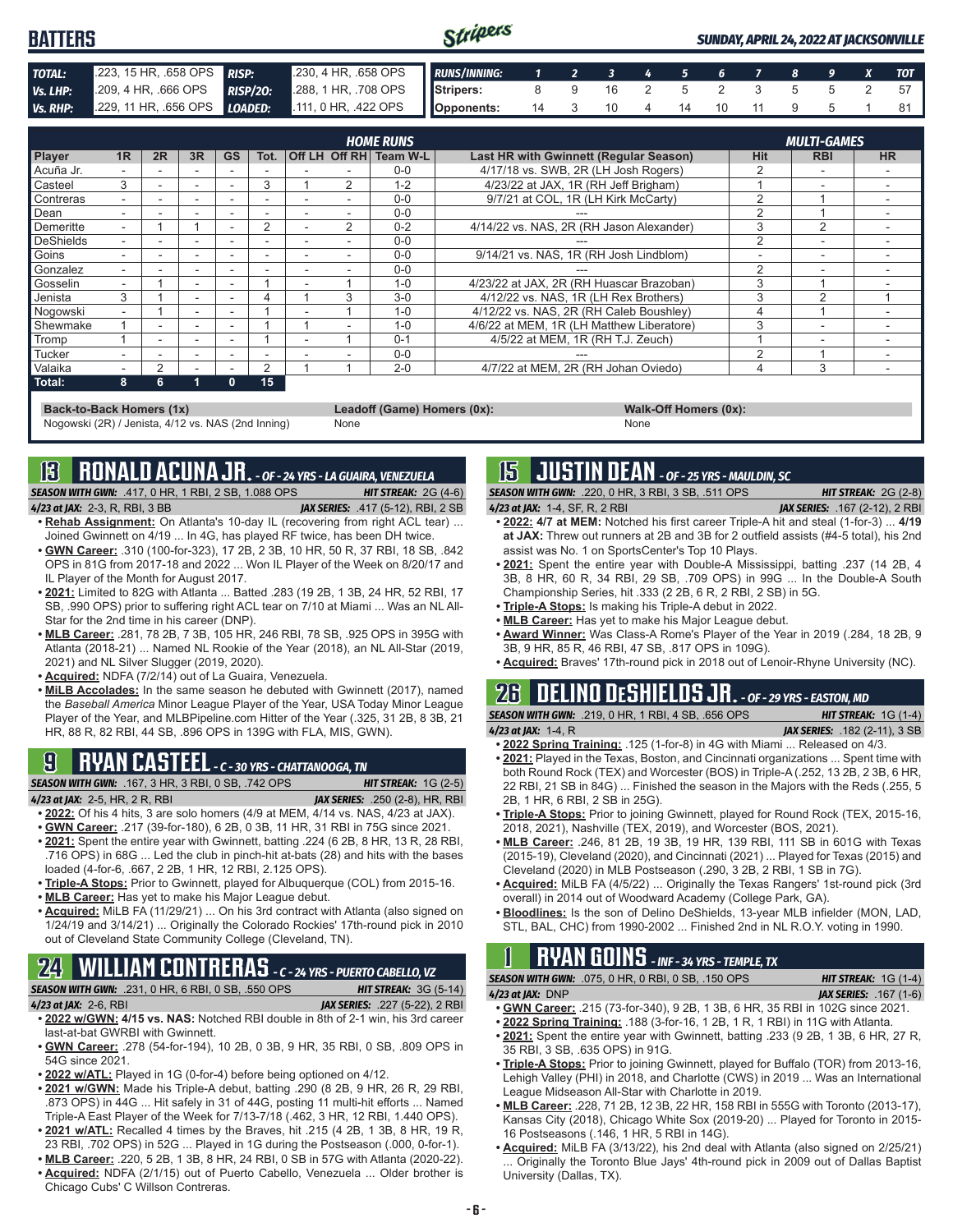| <b>BATTERS</b> |  | Stripers                                                                            |  |                        |  |  |  | <b>SUNDAY, APRIL 24, 2022 AT JACKSONVILLE</b> |      |
|----------------|--|-------------------------------------------------------------------------------------|--|------------------------|--|--|--|-----------------------------------------------|------|
| TOTAL:         |  | .223, 15 HR, 658 OPS RISP: .230, 4 HR, 658 OPS RUNS/INNING: 1 2 3 4 5 6 7 8 9 X TOT |  |                        |  |  |  |                                               |      |
| Vs. LHP:       |  | 209, 4 HR, 666 OPS RISP/20: 288, 1 HR, 708 OPS Stripers: 8 9 16 2 5 2 3 5 5 2 57    |  |                        |  |  |  |                                               |      |
| Vs. RHP:       |  | 229, 11 HR, .656 OPS <i>LOADED</i> : 111, 0 HR, .422 OPS <b>Opponents:</b>          |  | 14 3 10 4 14 10 11 9 5 |  |  |  |                                               | 81 I |

|           | <b>HOME RUNS</b><br><b>MULTI-GAMES</b> |    |                          |              |      |  |                |          |                                               |            |                |           |
|-----------|----------------------------------------|----|--------------------------|--------------|------|--|----------------|----------|-----------------------------------------------|------------|----------------|-----------|
| Player    | 1R                                     | 2R | 3R                       | GS           | Tot. |  | Off LH Off RH  | Team W-L | <b>Last HR with Gwinnett (Regular Season)</b> | <b>Hit</b> | <b>RBI</b>     | <b>HR</b> |
| Acuña Jr. |                                        |    |                          |              |      |  |                | $0 - 0$  | 4/17/18 vs. SWB, 2R (LH Josh Rogers)          |            | -              |           |
| Casteel   | 3                                      |    | $\overline{\phantom{a}}$ | ۰            | 3    |  | $\overline{2}$ | $1 - 2$  | 4/23/22 at JAX. 1R (RH Jeff Brigham)          |            | -              |           |
| Contreras | ۰.                                     |    | -                        | -            |      |  |                | $0 - 0$  | 9/7/21 at COL, 1R (LH Kirk McCarty)           | 2          |                |           |
| Dean      |                                        |    |                          |              |      |  |                | $0 - 0$  |                                               | C          |                |           |
| Demeritte | -                                      |    |                          |              | 2    |  | 2              | $0 - 2$  | 4/14/22 vs. NAS. 2R (RH Jason Alexander)      | 3          | $\overline{2}$ |           |
| DeShields |                                        |    |                          |              |      |  |                | $0 - 0$  |                                               | 2          | -              |           |
| Goins     |                                        |    |                          |              |      |  |                | $0 - 0$  | 9/14/21 vs. NAS, 1R (RH Josh Lindblom)        |            | -              |           |
| Gonzalez  |                                        |    | $\overline{\phantom{a}}$ |              |      |  |                | $0 - 0$  |                                               | 2          |                |           |
| Gosselin  |                                        |    | $\overline{\phantom{a}}$ |              |      |  |                | $1 - 0$  | 4/23/22 at JAX, 2R (RH Huascar Brazoban)      | 3          |                |           |
| Jenista   | 3                                      |    | $\overline{\phantom{a}}$ |              |      |  | 3              | $3-0$    | 4/12/22 vs. NAS, 1R (LH Rex Brothers)         | 3          | $\mathcal{P}$  |           |
| Nogowski  | ۰.                                     |    | $\overline{\phantom{a}}$ |              |      |  |                | $1 - 0$  | 4/12/22 vs. NAS, 2R (RH Caleb Boushley)       |            |                |           |
| Shewmake  |                                        |    |                          |              |      |  |                | $1 - 0$  | 4/6/22 at MEM. 1R (LH Matthew Liberatore)     | 3          |                |           |
| Tromp     |                                        |    |                          |              |      |  |                | $0 - 1$  | 4/5/22 at MEM, 1R (RH T.J. Zeuch)             |            | -              |           |
| Tucker    |                                        | ۰  | $\overline{\phantom{a}}$ |              |      |  |                | $0 - 0$  |                                               | ∩          |                |           |
| Valaika   |                                        | 2  |                          |              | 2    |  |                | $2 - 0$  | 4/7/22 at MEM, 2R (RH Johan Oviedo)           |            | 3              |           |
| Total:    | 8                                      | 6  |                          | $\mathbf{0}$ | 15   |  |                |          |                                               |            |                |           |

**Back-to-Back Homers (1x) Leadoff (Game) Homers (0x): Walk-Off Homers (0x): Walk-Off Homers (0x): None None** Nogowski (2R) / Jenista, 4/12 vs. NAS (2nd Inning)

# **13 RONALD ACUNA JR.** *- OF - 24 YRS - LA GUAIRA, VENEZUELA*

*SEASON WITH GWN:*.417, 0 HR, 1 RBI, 2 SB, 1.088 OPS *HIT STREAK:* 2G (4-6) *4/23 at JAX:*2-3, R, RBI, 3 BB *JAX SERIES:* .417 (5-12), RBI, 2 SB

- **• Rehab Assignment:** On Atlanta's 10-day IL (recovering from right ACL tear) ... Joined Gwinnett on 4/19 ... In 4G, has played RF twice, has been DH twice.
- **• GWN Career:** .310 (100-for-323), 17 2B, 2 3B, 10 HR, 50 R, 37 RBI, 18 SB, .842 OPS in 81G from 2017-18 and 2022 ... Won IL Player of the Week on 8/20/17 and IL Player of the Month for August 2017.
- **• 2021:** Limited to 82G with Atlanta ... Batted .283 (19 2B, 1 3B, 24 HR, 52 RBI, 17 SB, .990 OPS) prior to suffering right ACL tear on 7/10 at Miami ... Was an NL All-Star for the 2nd time in his career (DNP).
- **• MLB Career:** .281, 78 2B, 7 3B, 105 HR, 246 RBI, 78 SB, .925 OPS in 395G with Atlanta (2018-21) ... Named NL Rookie of the Year (2018), an NL All-Star (2019, 2021) and NL Silver Slugger (2019, 2020).
- **• Acquired:** NDFA (7/2/14) out of La Guaira, Venezuela.
- **• MiLB Accolades:** In the same season he debuted with Gwinnett (2017), named the *Baseball America* Minor League Player of the Year, USA Today Minor League Player of the Year, and MLBPipeline.com Hitter of the Year (.325, 31 2B, 8 3B, 21 HR, 88 R, 82 RBI, 44 SB, .896 OPS in 139G with FLA, MIS, GWN).

# **9 RYAN CASTEEL** *- C - 30 YRS - CHATTANOOGA, TN*

*SEASON WITH GWN:*.167, 3 HR, 3 RBI, 0 SB, .742 OPS *HIT STREAK:* 1G (2-5)

- *4/23 at JAX:*2-5, HR, 2 R, RBI *JAX SERIES:* .250 (2-8), HR, RBI **• 2022:** Of his 4 hits, 3 are solo homers (4/9 at MEM, 4/14 vs. NAS, 4/23 at JAX).
- **• GWN Career:** .217 (39-for-180), 6 2B, 0 3B, 11 HR, 31 RBI in 75G since 2021.
- **• 2021:** Spent the entire year with Gwinnett, batting .224 (6 2B, 8 HR, 13 R, 28 RBI, .716 OPS) in 68G ... Led the club in pinch-hit at-bats (28) and hits with the bases loaded (4-for-6, .667, 2 2B, 1 HR, 12 RBI, 2.125 OPS).
- **• Triple-A Stops:** Prior to Gwinnett, played for Albuquerque (COL) from 2015-16.
- **• MLB Career:** Has yet to make his Major League debut.
- **• Acquired:** MiLB FA (11/29/21) ... On his 3rd contract with Atlanta (also signed on 1/24/19 and 3/14/21) ... Originally the Colorado Rockies' 17th-round pick in 2010 out of Cleveland State Community College (Cleveland, TN).

# **24 WILLIAM CONTRERAS** *- C - 24 YRS - PUERTO CABELLO, VZ*

*SEASON WITH GWN:*.231, 0 HR, 6 RBI, 0 SB, .550 OPS *HIT STREAK:* 3G (5-14) *4/23 at JAX:*2-6, RBI *JAX SERIES:* .227 (5-22), 2 RBI

- **• 2022 w/GWN: 4/15 vs. NAS:** Notched RBI double in 8th of 2-1 win, his 3rd career last-at-bat GWRBI with Gwinnett.
- **• GWN Career:** .278 (54-for-194), 10 2B, 0 3B, 9 HR, 35 RBI, 0 SB, .809 OPS in 54G since 2021.
- **• 2022 w/ATL:** Played in 1G (0-for-4) before being optioned on 4/12.
- **• 2021 w/GWN:** Made his Triple-A debut, batting .290 (8 2B, 9 HR, 26 R, 29 RBI, .873 OPS) in 44G ... Hit safely in 31 of 44G, posting 11 multi-hit efforts ... Named Triple-A East Player of the Week for 7/13-7/18 (.462, 3 HR, 12 RBI, 1.440 OPS). **• 2021 w/ATL:** Recalled 4 times by the Braves, hit .215 (4 2B, 1 3B, 8 HR, 19 R,
- 23 RBI, .702 OPS) in 52G ... Played in 1G during the Postseason (.000, 0-for-1). **• MLB Career:** .220, 5 2B, 1 3B, 8 HR, 24 RBI, 0 SB in 57G with Atlanta (2020-22).
- **• Acquired:** NDFA (2/1/15) out of Puerto Cabello, Venezuela ... Older brother is
- Chicago Cubs' C Willson Contreras.

## **15 JUSTIN DEAN** *- OF - 25 YRS - MAULDIN, SC*

*SEASON WITH GWN:*.220, 0 HR, 3 RBI, 3 SB, .511 OPS *HIT STREAK:* 2G (2-8) *4/23 at JAX:*1-4, SF, R, 2 RBI *JAX SERIES:* .167 (2-12), 2 RBI

- **• 2022: 4/7 at MEM:** Notched his first career Triple-A hit and steal (1-for-3) ... **4/19 at JAX:** Threw out runners at 2B and 3B for 2 outfield assists (#4-5 total), his 2nd assist was No. 1 on SportsCenter's Top 10 Plays.
- **• 2021:** Spent the entire year with Double-A Mississippi, batting .237 (14 2B, 4 3B, 8 HR, 60 R, 34 RBI, 29 SB, .709 OPS) in 99G ... In the Double-A South Championship Series, hit .333 (2 2B, 6 R, 2 RBI, 2 SB) in 5G.
- **• Triple-A Stops:** Is making his Triple-A debut in 2022.
- **• MLB Career:** Has yet to make his Major League debut.
- **• Award Winner:** Was Class-A Rome's Player of the Year in 2019 (.284, 18 2B, 9 3B, 9 HR, 85 R, 46 RBI, 47 SB, .817 OPS in 109G).
- **• Acquired:** Braves' 17th-round pick in 2018 out of Lenoir-Rhyne University (NC).

#### **26 DELINO DESHIELDS JR.** *- OF - 29 YRS - EASTON, MD SEASON WITH GWN:*.219, 0 HR, 1 RBI, 4 SB, .656 OPS *HIT STREAK:* 1G (1-4)

- *4/23 at JAX:*1-4, R *JAX SERIES:* .182 (2-11), 3 SB
- **• 2022 Spring Training:** .125 (1-for-8) in 4G with Miami ... Released on 4/3.
- **• 2021:** Played in the Texas, Boston, and Cincinnati organizations ... Spent time with both Round Rock (TEX) and Worcester (BOS) in Triple-A (.252, 13 2B, 2 3B, 6 HR, 22 RBI, 21 SB in 84G) ... Finished the season in the Majors with the Reds (.255, 5 2B, 1 HR, 6 RBI, 2 SB in 25G).
- **• Triple-A Stops:** Prior to joining Gwinnett, played for Round Rock (TEX, 2015-16, 2018, 2021), Nashville (TEX, 2019), and Worcester (BOS, 2021).
- **• MLB Career:** .246, 81 2B, 19 3B, 19 HR, 139 RBI, 111 SB in 601G with Texas (2015-19), Cleveland (2020), and Cincinnati (2021) ... Played for Texas (2015) and Cleveland (2020) in MLB Postseason (.290, 3 2B, 2 RBI, 1 SB in 7G).
- **• Acquired:** MiLB FA (4/5/22) ... Originally the Texas Rangers' 1st-round pick (3rd overall) in 2014 out of Woodward Academy (College Park, GA).
- **• Bloodlines:** Is the son of Delino DeShields, 13-year MLB infielder (MON, LAD, STL, BAL, CHC) from 1990-2002 ... Finished 2nd in NL R.O.Y. voting in 1990.

# **1 RYAN GOINS** *- INF - 34 YRS - TEMPLE, TX*

- *SEASON WITH GWN:*.075, 0 HR, 0 RBI, 0 SB, .150 OPS *HIT STREAK:* 1G (1-4)
- *4/23 at JAX:*DNP *JAX SERIES:* .167 (1-6) **• GWN Career:** .215 (73-for-340), 9 2B, 1 3B, 6 HR, 35 RBI in 102G since 2021.
- **• 2022 Spring Training:** .188 (3-for-16, 1 2B, 1 R, 1 RBI) in 11G with Atlanta.
- **• 2021:** Spent the entire year with Gwinnett, batting .233 (9 2B, 1 3B, 6 HR, 27 R, 35 RBI, 3 SB, .635 OPS) in 91G.
- **• Triple-A Stops:** Prior to joining Gwinnett, played for Buffalo (TOR) from 2013-16, Lehigh Valley (PHI) in 2018, and Charlotte (CWS) in 2019 ... Was an International League Midseason All-Star with Charlotte in 2019.
- **• MLB Career:** .228, 71 2B, 12 3B, 22 HR, 158 RBI in 555G with Toronto (2013-17), Kansas City (2018), Chicago White Sox (2019-20) ... Played for Toronto in 2015- 16 Postseasons (.146, 1 HR, 5 RBI in 14G).
- **• Acquired:** MiLB FA (3/13/22), his 2nd deal with Atlanta (also signed on 2/25/21) Originally the Toronto Blue Jays' 4th-round pick in 2009 out of Dallas Baptist University (Dallas, TX).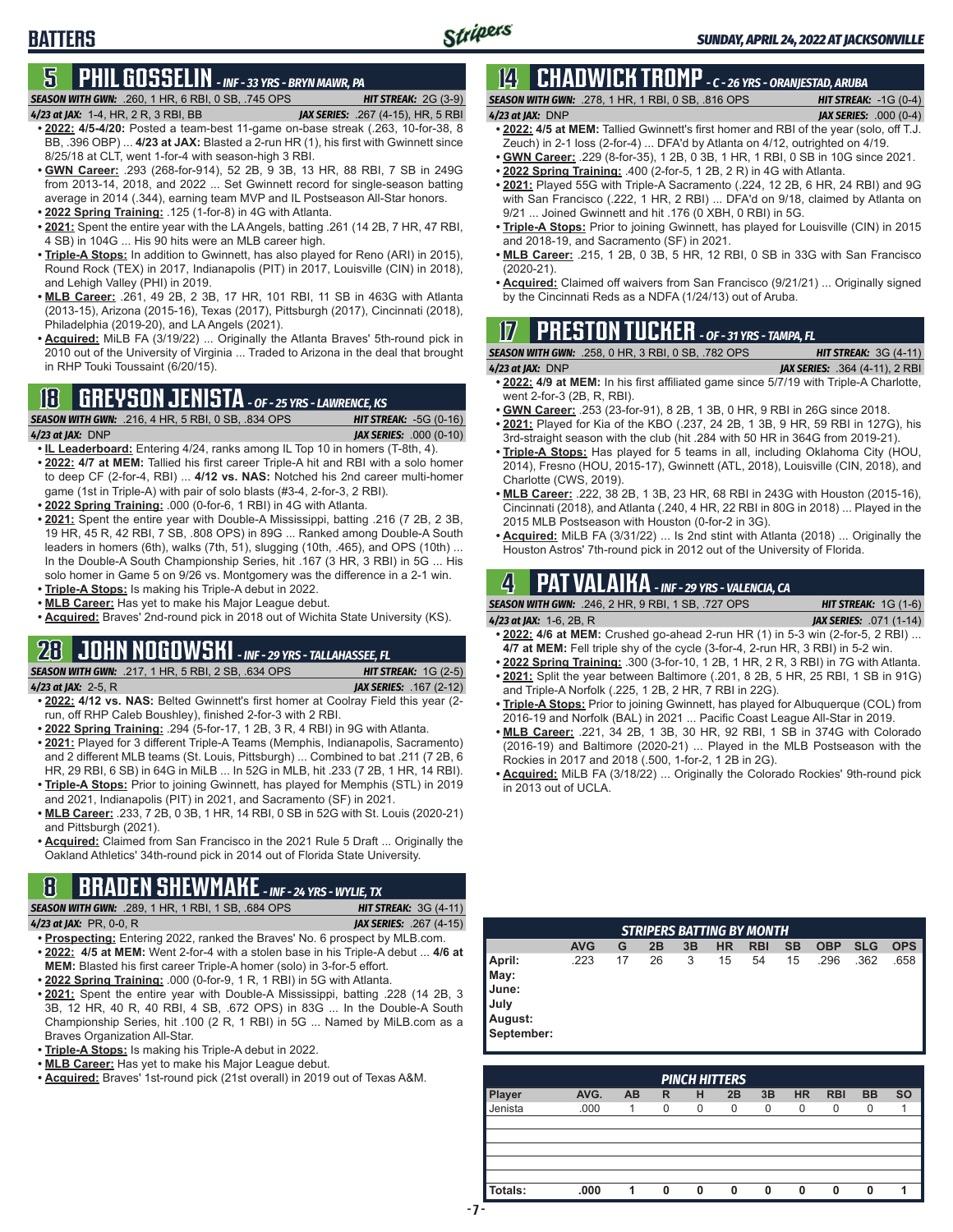#### **5 PHIL GOSSELIN** *- INF - 33 YRS - BRYN MAWR, PA SEASON WITH GWN:*.260, 1 HR, 6 RBI, 0 SB, .745 OPS *HIT STREAK:* 2G (3-9)

*4/23 at JAX:*1-4, HR, 2 R, 3 RBI, BB *JAX SERIES:* .267 (4-15), HR, 5 RBI

**BATTERS**

- **• 2022: 4/5-4/20:** Posted a team-best 11-game on-base streak (.263, 10-for-38, 8 BB, .396 OBP) ... **4/23 at JAX:** Blasted a 2-run HR (1), his first with Gwinnett since 8/25/18 at CLT, went 1-for-4 with season-high 3 RBI.
- **• GWN Career:** .293 (268-for-914), 52 2B, 9 3B, 13 HR, 88 RBI, 7 SB in 249G from 2013-14, 2018, and 2022 ... Set Gwinnett record for single-season batting average in 2014 (.344), earning team MVP and IL Postseason All-Star honors.
- **• 2022 Spring Training:** .125 (1-for-8) in 4G with Atlanta.
- **• 2021:** Spent the entire year with the LA Angels, batting .261 (14 2B, 7 HR, 47 RBI, 4 SB) in 104G ... His 90 hits were an MLB career high.
- **• Triple-A Stops:** In addition to Gwinnett, has also played for Reno (ARI) in 2015), Round Rock (TEX) in 2017, Indianapolis (PIT) in 2017, Louisville (CIN) in 2018), and Lehigh Valley (PHI) in 2019.
- **• MLB Career:** .261, 49 2B, 2 3B, 17 HR, 101 RBI, 11 SB in 463G with Atlanta (2013-15), Arizona (2015-16), Texas (2017), Pittsburgh (2017), Cincinnati (2018), Philadelphia (2019-20), and LA Angels (2021).
- **• Acquired:** MiLB FA (3/19/22) ... Originally the Atlanta Braves' 5th-round pick in 2010 out of the University of Virginia ... Traded to Arizona in the deal that brought in RHP Touki Toussaint (6/20/15).

# **18 GREYSON JENISTA** *- OF - 25 YRS - LAWRENCE, KS*

|                  | <b>SEASON WITH GWN:</b> .216, 4 HR, 5 RBI, 0 SB, .834 OPS | <b>HIT STREAK: -5G (0-16)</b>  |
|------------------|-----------------------------------------------------------|--------------------------------|
| 4/23 at JAX: DNP |                                                           | <b>JAX SERIES: .000 (0-10)</b> |

- **• IL Leaderboard:** Entering 4/24, ranks among IL Top 10 in homers (T-8th, 4).
- **• 2022: 4/7 at MEM:** Tallied his first career Triple-A hit and RBI with a solo homer to deep CF (2-for-4, RBI) ... **4/12 vs. NAS:** Notched his 2nd career multi-homer game (1st in Triple-A) with pair of solo blasts (#3-4, 2-for-3, 2 RBI).
- **• 2022 Spring Training:** .000 (0-for-6, 1 RBI) in 4G with Atlanta.
- **• 2021:** Spent the entire year with Double-A Mississippi, batting .216 (7 2B, 2 3B, 19 HR, 45 R, 42 RBI, 7 SB, .808 OPS) in 89G ... Ranked among Double-A South leaders in homers (6th), walks (7th, 51), slugging (10th, .465), and OPS (10th) ... In the Double-A South Championship Series, hit .167 (3 HR, 3 RBI) in 5G ... His solo homer in Game 5 on 9/26 vs. Montgomery was the difference in a 2-1 win. **• Triple-A Stops:** Is making his Triple-A debut in 2022.
- **• MLB Career:** Has yet to make his Major League debut.
- **• Acquired:** Braves' 2nd-round pick in 2018 out of Wichita State University (KS).

# **28 JOHN NOGOWSKI** *- INF - 29 YRS - TALLAHASSEE, FL*

*SEASON WITH GWN:*.217, 1 HR, 5 RBI, 2 SB, .634 OPS *HIT STREAK:* 1G (2-5) *4/23 at JAX:*2-5, R *JAX SERIES:* .167 (2-12)

- **• 2022: 4/12 vs. NAS:** Belted Gwinnett's first homer at Coolray Field this year (2 run, off RHP Caleb Boushley), finished 2-for-3 with 2 RBI.
- **• 2022 Spring Training:** .294 (5-for-17, 1 2B, 3 R, 4 RBI) in 9G with Atlanta.
- **• 2021:** Played for 3 different Triple-A Teams (Memphis, Indianapolis, Sacramento) and 2 different MLB teams (St. Louis, Pittsburgh) ... Combined to bat .211 (7 2B, 6 HR, 29 RBI, 6 SB) in 64G in MiLB ... In 52G in MLB, hit .233 (7 2B, 1 HR, 14 RBI).
- **• Triple-A Stops:** Prior to joining Gwinnett, has played for Memphis (STL) in 2019 and 2021, Indianapolis (PIT) in 2021, and Sacramento (SF) in 2021.
- **• MLB Career:** .233, 7 2B, 0 3B, 1 HR, 14 RBI, 0 SB in 52G with St. Louis (2020-21) and Pittsburgh (2021).
- **• Acquired:** Claimed from San Francisco in the 2021 Rule 5 Draft ... Originally the Oakland Athletics' 34th-round pick in 2014 out of Florida State University.

# **8 BRADEN SHEWMAKE** *- INF - 24 YRS - WYLIE, TX*

*SEASON WITH GWN:*.289, 1 HR, 1 RBI, 1 SB, .684 OPS *HIT STREAK:* 3G (4-11)

*4/23 at JAX:*PR, 0-0, R *JAX SERIES:* .267 (4-15)

- **• Prospecting:** Entering 2022, ranked the Braves' No. 6 prospect by MLB.com. **• 2022: 4/5 at MEM:** Went 2-for-4 with a stolen base in his Triple-A debut ... **4/6 at MEM:** Blasted his first career Triple-A homer (solo) in 3-for-5 effort.
- **• 2022 Spring Training:** .000 (0-for-9, 1 R, 1 RBI) in 5G with Atlanta.
- **• 2021:** Spent the entire year with Double-A Mississippi, batting .228 (14 2B, 3 3B, 12 HR, 40 R, 40 RBI, 4 SB, .672 OPS) in 83G ... In the Double-A South Championship Series, hit .100 (2 R, 1 RBI) in 5G ... Named by MiLB.com as a Braves Organization All-Star.
- **• Triple-A Stops:** Is making his Triple-A debut in 2022.
- **• MLB Career:** Has yet to make his Major League debut.
- **• Acquired:** Braves' 1st-round pick (21st overall) in 2019 out of Texas A&M.

# **14 CHADWICK TROMP** *- C - 26 YRS - ORANJESTAD, ARUBA*

| <b>SEASON WITH GWN: .278, 1 HR, 1 RBI, 0 SB, .816 OPS</b> | <b>HIT STREAK:</b> $-1G(0-4)$  |
|-----------------------------------------------------------|--------------------------------|
| $4/23$ at JAX: DNP                                        | <b>JAX SERIES:</b> $.000(0-4)$ |
|                                                           |                                |

- **• 2022: 4/5 at MEM:** Tallied Gwinnett's first homer and RBI of the year (solo, off T.J. Zeuch) in 2-1 loss (2-for-4) ... DFA'd by Atlanta on 4/12, outrighted on 4/19.
- **• GWN Career:** .229 (8-for-35), 1 2B, 0 3B, 1 HR, 1 RBI, 0 SB in 10G since 2021.
	- **• 2022 Spring Training:** .400 (2-for-5, 1 2B, 2 R) in 4G with Atlanta.
	- **• 2021:** Played 55G with Triple-A Sacramento (.224, 12 2B, 6 HR, 24 RBI) and 9G with San Francisco (.222, 1 HR, 2 RBI) ... DFA'd on 9/18, claimed by Atlanta on 9/21 ... Joined Gwinnett and hit .176 (0 XBH, 0 RBI) in 5G.
	- **• Triple-A Stops:** Prior to joining Gwinnett, has played for Louisville (CIN) in 2015 and 2018-19, and Sacramento (SF) in 2021.
	- **• MLB Career:** .215, 1 2B, 0 3B, 5 HR, 12 RBI, 0 SB in 33G with San Francisco (2020-21).
	- **• Acquired:** Claimed off waivers from San Francisco (9/21/21) ... Originally signed by the Cincinnati Reds as a NDFA (1/24/13) out of Aruba.

# **17 PRESTON TUCKER** *- OF - 31 YRS - TAMPA, FL*

|                  | <b>SEASON WITH GWN:</b> .258, 0 HR, 3 RBI, 0 SB, .782 OPS ' | <b>HIT STREAK:</b> $3G(4-11)$         |
|------------------|-------------------------------------------------------------|---------------------------------------|
| 4/23 at JAX: DNP |                                                             | <b>JAX SERIES:</b> .364 (4-11), 2 RBI |

- **• 2022: 4/9 at MEM:** In his first affiliated game since 5/7/19 with Triple-A Charlotte, went 2-for-3 (2B, R, RBI).
- **• GWN Career:** .253 (23-for-91), 8 2B, 1 3B, 0 HR, 9 RBI in 26G since 2018.
- **• 2021:** Played for Kia of the KBO (.237, 24 2B, 1 3B, 9 HR, 59 RBI in 127G), his 3rd-straight season with the club (hit .284 with 50 HR in 364G from 2019-21).
- **• Triple-A Stops:** Has played for 5 teams in all, including Oklahoma City (HOU, 2014), Fresno (HOU, 2015-17), Gwinnett (ATL, 2018), Louisville (CIN, 2018), and Charlotte (CWS, 2019).
- **• MLB Career:** .222, 38 2B, 1 3B, 23 HR, 68 RBI in 243G with Houston (2015-16), Cincinnati (2018), and Atlanta (.240, 4 HR, 22 RBI in 80G in 2018) ... Played in the 2015 MLB Postseason with Houston (0-for-2 in 3G).
- **• Acquired:** MiLB FA (3/31/22) ... Is 2nd stint with Atlanta (2018) ... Originally the Houston Astros' 7th-round pick in 2012 out of the University of Florida.

# **4 PAT VALAIKA** *- INF - 29 YRS - VALENCIA, CA*

*SEASON WITH GWN:*.246, 2 HR, 9 RBI, 1 SB, .727 OPS *HIT STREAK:* 1G (1-6)

- *4/23 at JAX:*1-6, 2B, R *JAX SERIES:* .071 (1-14)
- **• 2022: 4/6 at MEM:** Crushed go-ahead 2-run HR (1) in 5-3 win (2-for-5, 2 RBI) ... **4/7 at MEM:** Fell triple shy of the cycle (3-for-4, 2-run HR, 3 RBI) in 5-2 win.
- **• 2022 Spring Training:** .300 (3-for-10, 1 2B, 1 HR, 2 R, 3 RBI) in 7G with Atlanta. **• 2021:** Split the year between Baltimore (.201, 8 2B, 5 HR, 25 RBI, 1 SB in 91G)
- and Triple-A Norfolk (.225, 1 2B, 2 HR, 7 RBI in 22G).
- **• Triple-A Stops:** Prior to joining Gwinnett, has played for Albuquerque (COL) from 2016-19 and Norfolk (BAL) in 2021 ... Pacific Coast League All-Star in 2019.
- **• MLB Career:** .221, 34 2B, 1 3B, 30 HR, 92 RBI, 1 SB in 374G with Colorado (2016-19) and Baltimore (2020-21) ... Played in the MLB Postseason with the Rockies in 2017 and 2018 (.500, 1-for-2, 1 2B in 2G).
- **• Acquired:** MiLB FA (3/18/22) ... Originally the Colorado Rockies' 9th-round pick in 2013 out of UCLA.

| <b>STRIPERS BATTING BY MONTH</b> |            |    |    |    |           |            |           |            |            |            |
|----------------------------------|------------|----|----|----|-----------|------------|-----------|------------|------------|------------|
|                                  | <b>AVG</b> | G  | 2B | 3B | <b>HR</b> | <b>RBI</b> | <b>SB</b> | <b>OBP</b> | <b>SLG</b> | <b>OPS</b> |
| April:                           | .223       | 17 | 26 | 3  | 15        | 54         | 15        | .296       | .362       | .658       |
| $\blacksquare$ May:              |            |    |    |    |           |            |           |            |            |            |
| June:                            |            |    |    |    |           |            |           |            |            |            |
| <b>July</b>                      |            |    |    |    |           |            |           |            |            |            |
| August:                          |            |    |    |    |           |            |           |            |            |            |
| September:                       |            |    |    |    |           |            |           |            |            |            |
|                                  |            |    |    |    |           |            |           |            |            |            |

| <b>PINCH HITTERS</b> |      |    |          |   |          |          |           |            |           |           |
|----------------------|------|----|----------|---|----------|----------|-----------|------------|-----------|-----------|
| Player               | AVG. | AB | R        | н | 2B       | 3B       | <b>HR</b> | <b>RBI</b> | <b>BB</b> | <b>SO</b> |
| Jenista              | .000 |    | $\Omega$ | 0 | $\Omega$ | 0        | $\Omega$  | 0          | 0         |           |
|                      |      |    |          |   |          |          |           |            |           |           |
|                      |      |    |          |   |          |          |           |            |           |           |
|                      |      |    |          |   |          |          |           |            |           |           |
|                      |      |    |          |   |          |          |           |            |           |           |
|                      |      |    |          |   |          |          |           |            |           |           |
| Totals:              | .000 | 4  | 0        | 0 | 0        | $\Omega$ | 0         | 0          | ŋ         |           |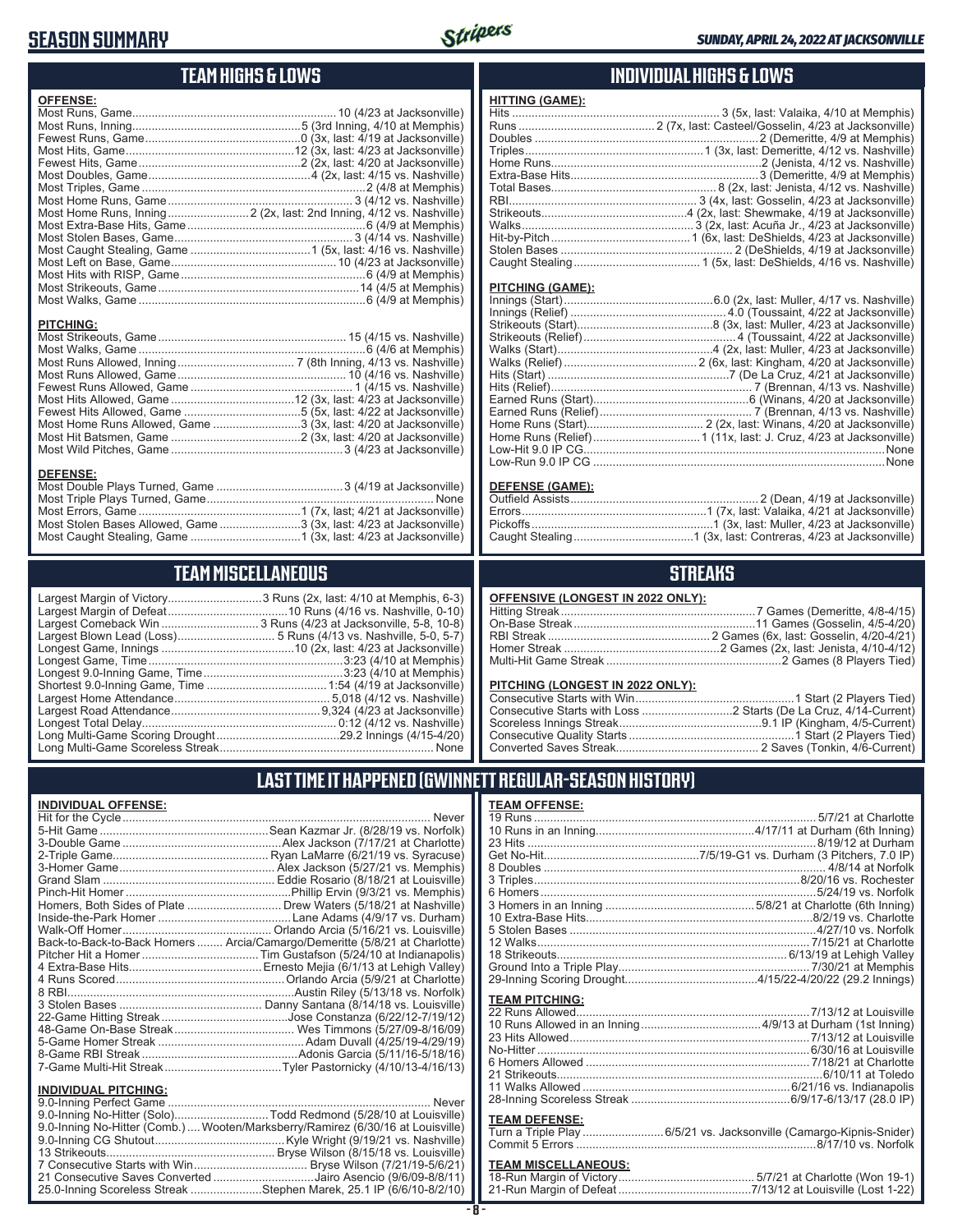## **SEASON SUMMARY**



#### **TEAM HIGHS & LOWS**

| <b>OFFENSE:</b>  |  |
|------------------|--|
|                  |  |
|                  |  |
|                  |  |
|                  |  |
|                  |  |
|                  |  |
|                  |  |
|                  |  |
|                  |  |
|                  |  |
|                  |  |
|                  |  |
|                  |  |
|                  |  |
|                  |  |
|                  |  |
|                  |  |
| <b>PITCHING:</b> |  |
|                  |  |

Most Walks, Game ......................................................................6 (4/6 at Memphis) Most Runs Allowed, Inning .................................... 7 (8th Inning, 4/13 vs. Nashville) Most Runs Allowed, Game .................................................... 10 (4/16 vs. Nashville) Fewest Runs Allowed, Game .................................................. 1 (4/15 vs. Nashville) Most Hits Allowed, Game ......................................12 (3x, last: 4/23 at Jacksonville) Fewest Hits Allowed, Game ....................................5 (5x, last: 4/22 at Jacksonville) Most Home Runs Allowed, Game ...........................3 (3x, last: 4/20 at Jacksonville) Most Hit Batsmen, Game ........................................2 (3x, last: 4/20 at Jacksonville) Most Wild Pitches, Game .....................................................3 (4/23 at Jacksonville)

Most Double Plays Turned, Game .......................................3 (4/19 at Jacksonville) Most Triple Plays Turned, Game ...................................................................... None Most Errors, Game ..................................................1 (7x, last; 4/21 at Jacksonville) Most Stolen Bases Allowed, Game .........................3 (3x, last: 4/23 at Jacksonville) Most Caught Stealing, Game ..................................1 (3x, last: 4/23 at Jacksonville)

#### **INDIVIDUAL HIGHS & LOWS**

| . |  |
|---|--|
|   |  |
|   |  |
|   |  |
|   |  |
|   |  |
|   |  |
|   |  |
|   |  |
|   |  |
|   |  |
|   |  |
|   |  |
|   |  |
|   |  |

#### **PITCHING (GAME):**

**HITTING (GAME):**

| None |
|------|
|      |

#### **DEFENSE (GAME):**

#### **STREAKS**

| OFFENSIVE (LONGEST IN 2022 ONLY): |  |  |
|-----------------------------------|--|--|
|-----------------------------------|--|--|

#### **PITCHING (LONGEST IN 2022 ONLY):**

#### **LAST TIME IT HAPPENED (GWINNETT REGULAR-SEASON HISTORY)**

#### **TEAM OFFENSE:**

| <u>IEAM UFFENSE.</u>  |                                                                    |
|-----------------------|--------------------------------------------------------------------|
|                       |                                                                    |
|                       |                                                                    |
|                       |                                                                    |
|                       |                                                                    |
|                       |                                                                    |
|                       |                                                                    |
|                       |                                                                    |
|                       |                                                                    |
|                       |                                                                    |
|                       |                                                                    |
|                       |                                                                    |
|                       |                                                                    |
|                       |                                                                    |
|                       |                                                                    |
|                       |                                                                    |
| <b>TEAM PITCHING:</b> |                                                                    |
|                       |                                                                    |
|                       |                                                                    |
|                       |                                                                    |
|                       |                                                                    |
|                       |                                                                    |
|                       |                                                                    |
|                       |                                                                    |
|                       |                                                                    |
| <b>TEAM DEFENSE:</b>  |                                                                    |
|                       | Turn a Triple Play 6/5/21 vs. Jacksonville (Camargo-Kipnis-Snider) |
|                       |                                                                    |
|                       |                                                                    |
| .                     |                                                                    |

#### **TEAM MISCELLANEOUS:**

| 21-Run Margin of Defeat…………………………………7/13/12 at Louisville (Lost 1-22) |  |  |
|-----------------------------------------------------------------------|--|--|

| <b>TEAM MISCELLANEOUS</b>                                                                                                                                                                                                                                                                                                                                                                                           |  |  |  |  |  |  |  |  |
|---------------------------------------------------------------------------------------------------------------------------------------------------------------------------------------------------------------------------------------------------------------------------------------------------------------------------------------------------------------------------------------------------------------------|--|--|--|--|--|--|--|--|
| Largest Margin of Victory3 Runs (2x, last: 4/10 at Memphis, 6-3)<br>Largest Margin of Defeat………………………………10 Runs (4/16 vs. Nashville, 0-10)<br>Largest Comeback Win  3 Runs (4/23 at Jacksonville, 5-8, 10-8)<br>Largest Blown Lead (Loss) 5 Runs (4/13 vs. Nashville, 5-0, 5-7)<br>Longest Game, Time…………………………………………………3:23 (4/10 at Memphis)<br>Longest 9.0-Inning Game, Time……………………………………3:23 (4/10 at Memphis) |  |  |  |  |  |  |  |  |
| Long Multi-Game Scoring Drought………………………………29.2 Innings (4/15-4/20)                                                                                                                                                                                                                                                                                                                                                 |  |  |  |  |  |  |  |  |

.........3 Runs (2x, last: 4/10 at Memphis, 6-3) ..................10 Runs (4/16 vs. Nashville, 0-10) ........ 3 Runs (4/23 at Jacksonville, 5-8, 10-8) .............. 5 Runs (4/13 vs. Nashville, 5-0, 5-7) .....................10 (2x, last: 4/23 at Jacksonville) Longest Game, Time ............................................................3:23 (4/10 at Memphis) Largest Home Attendance ................................................ 5,018 (4/12 vs. Nashville) Largest Road Attendance ..............................................9,324 (4/23 at Jacksonville) Longest Total Delay............................................................ 0:12 (4/12 vs. Nashville) Long Multi-Game Scoring Drought ......................................29.2 Innings (4/15-4/20) Long Multi-Game Scoreless Streak .................................................................. None

## **INDIVIDUAL OFFENSE:**

**DEFENSE:**

|   | Homers, Both Sides of Plate  Drew Waters (5/18/21 at Nashville)            |
|---|----------------------------------------------------------------------------|
|   |                                                                            |
|   |                                                                            |
|   | Back-to-Back-to-Back Homers  Arcia/Camargo/Demeritte (5/8/21 at Charlotte) |
|   |                                                                            |
|   |                                                                            |
|   |                                                                            |
|   |                                                                            |
|   |                                                                            |
|   |                                                                            |
|   |                                                                            |
|   |                                                                            |
|   |                                                                            |
|   |                                                                            |
| 1 |                                                                            |

#### **INDIVIDUAL PITCHING:**

| 9.0-Inning No-Hitter (Solo)Todd Redmond (5/28/10 at Louisville)                |
|--------------------------------------------------------------------------------|
| 9.0-Inning No-Hitter (Comb.) Wooten/Marksberry/Ramirez (6/30/16 at Louisville) |
|                                                                                |
|                                                                                |
|                                                                                |
| 21 Consecutive Saves Converted Jairo Asencio (9/6/09-8/8/11)                   |
| 25.0-Inning Scoreless Streak Stephen Marek, 25.1 IP (6/6/10-8/2/10)            |